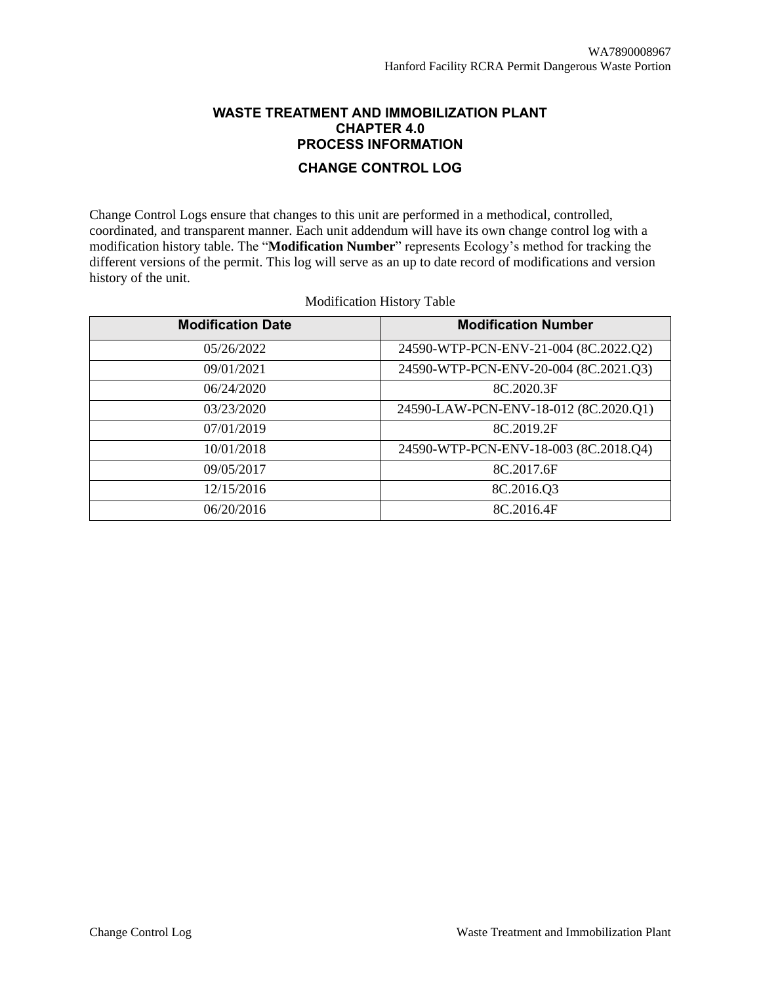### **WASTE TREATMENT AND IMMOBILIZATION PLANT CHAPTER 4.0 PROCESS INFORMATION CHANGE CONTROL LOG**

Change Control Logs ensure that changes to this unit are performed in a methodical, controlled, coordinated, and transparent manner. Each unit addendum will have its own change control log with a modification history table. The "**Modification Number**" represents Ecology's method for tracking the different versions of the permit. This log will serve as an up to date record of modifications and version history of the unit.

| <b>Modification Date</b> | <b>Modification Number</b>            |
|--------------------------|---------------------------------------|
| 05/26/2022               | 24590-WTP-PCN-ENV-21-004 (8C.2022.Q2) |
| 09/01/2021               | 24590-WTP-PCN-ENV-20-004 (8C.2021.Q3) |
| 06/24/2020               | 8C.2020.3F                            |
| 03/23/2020               | 24590-LAW-PCN-ENV-18-012 (8C.2020.Q1) |
| 07/01/2019               | 8C.2019.2F                            |
| 10/01/2018               | 24590-WTP-PCN-ENV-18-003 (8C.2018.Q4) |
| 09/05/2017               | 8C.2017.6F                            |
| 12/15/2016               | 8C.2016.Q3                            |
| 06/20/2016               | 8C.2016.4F                            |

#### Modification History Table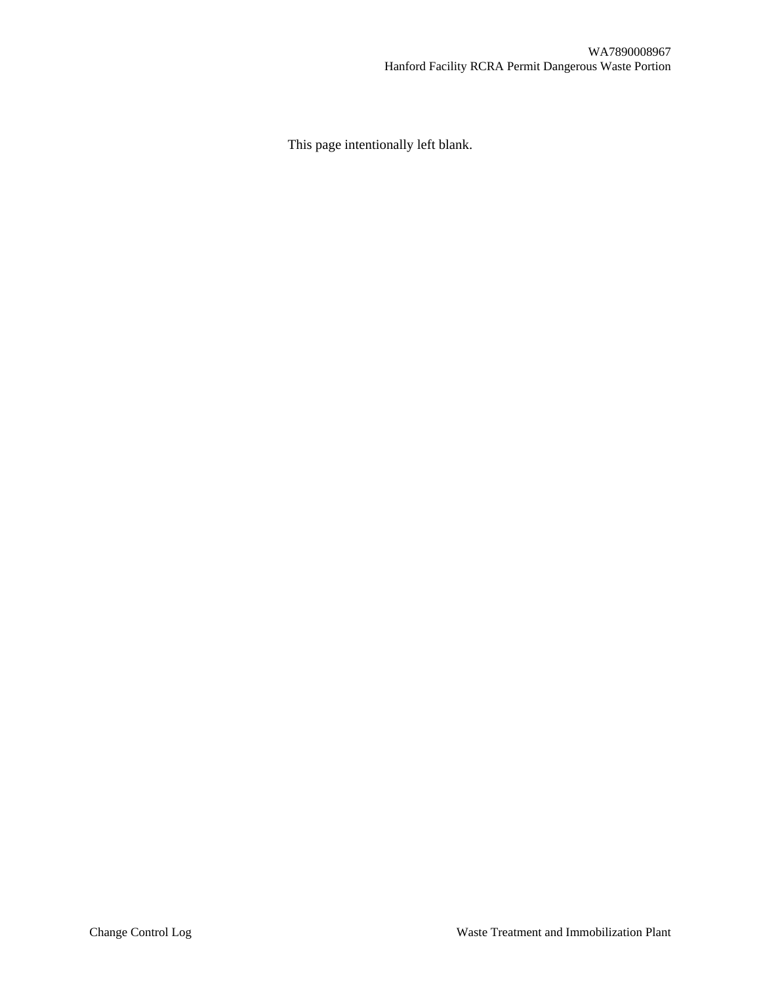This page intentionally left blank.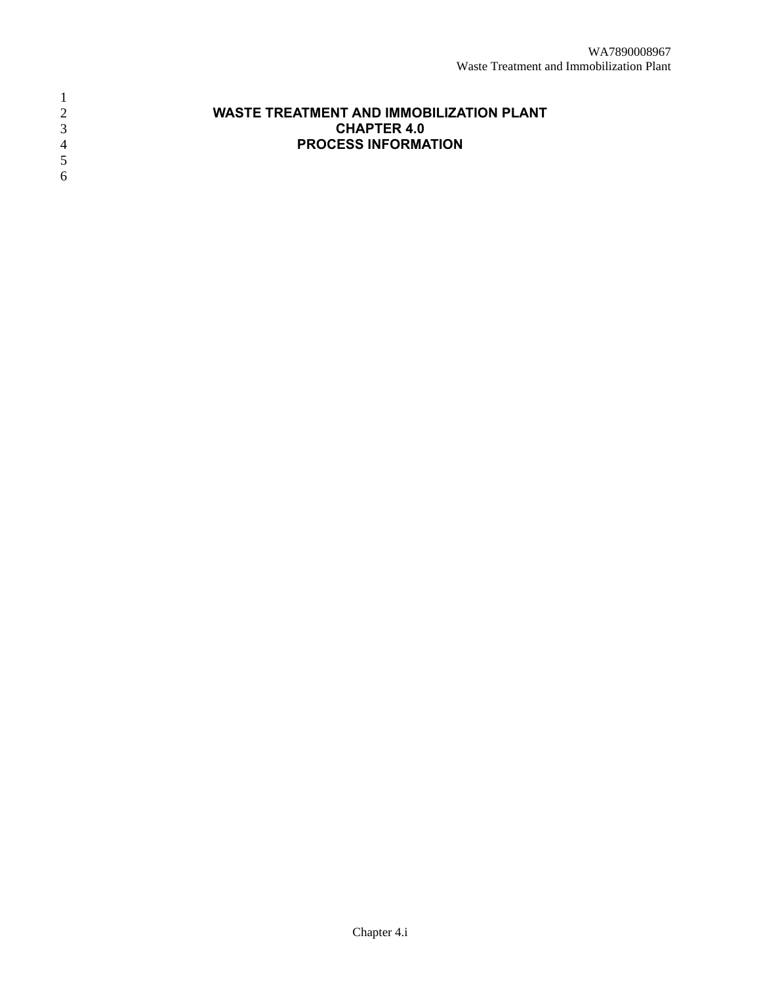| 2 | <b>WASTE TREATMENT AND IMMOBILIZATION PLANT</b> |
|---|-------------------------------------------------|
|   | <b>CHAPTER 4.0</b>                              |
| 4 | <b>PROCESS INFORMATION</b>                      |
| 5 |                                                 |
| 6 |                                                 |
|   |                                                 |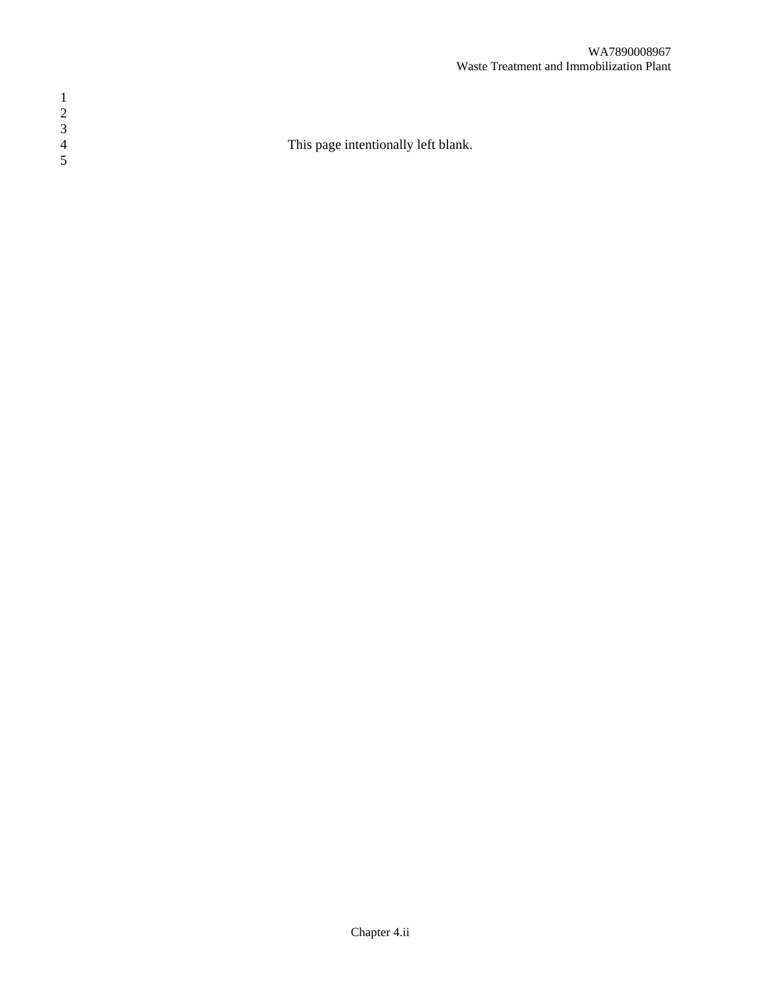This page intentionally left blank.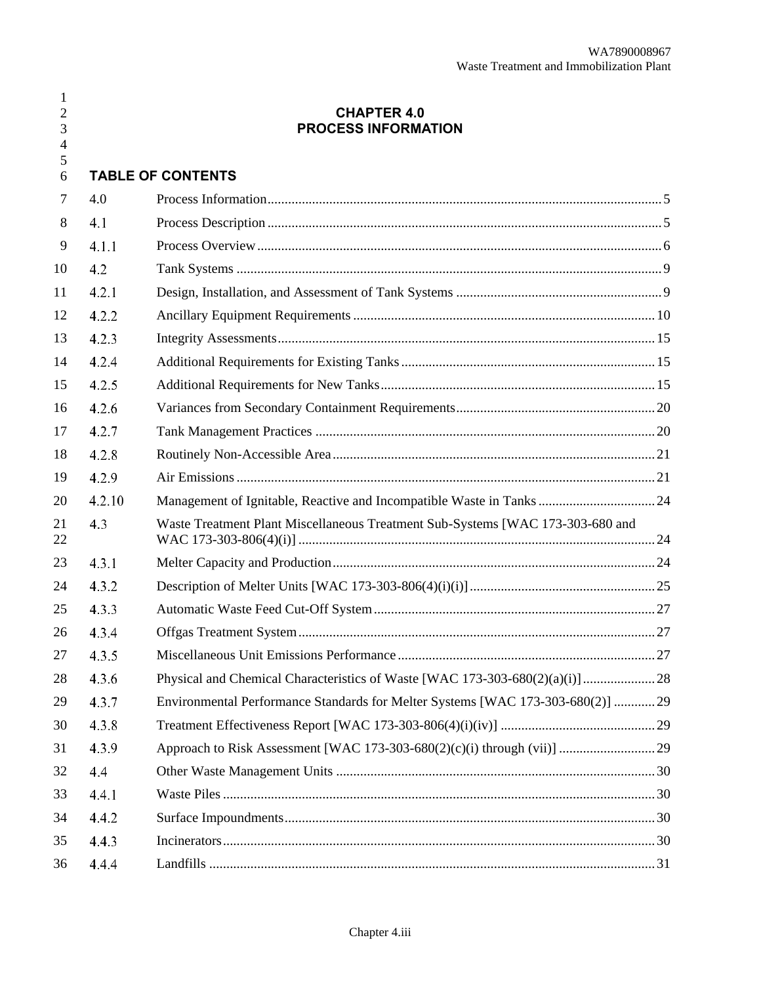| $\mathbf{1}$<br>$\mathfrak{2}$<br>3<br>$\overline{4}$ |                          | <b>CHAPTER 4.0</b><br><b>PROCESS INFORMATION</b>                               |  |  |  |
|-------------------------------------------------------|--------------------------|--------------------------------------------------------------------------------|--|--|--|
| 5<br>6                                                | <b>TABLE OF CONTENTS</b> |                                                                                |  |  |  |
| 7                                                     | 4.0                      |                                                                                |  |  |  |
| 8                                                     | 4.1                      |                                                                                |  |  |  |
| 9                                                     | 4.1.1                    |                                                                                |  |  |  |
| 10                                                    | 4.2                      |                                                                                |  |  |  |
| 11                                                    | 4.2.1                    |                                                                                |  |  |  |
| 12                                                    | 4.2.2                    |                                                                                |  |  |  |
| 13                                                    | 4.2.3                    |                                                                                |  |  |  |
| 14                                                    | 4.2.4                    |                                                                                |  |  |  |
| 15                                                    | 4.2.5                    |                                                                                |  |  |  |
| 16                                                    | 4.2.6                    |                                                                                |  |  |  |
| 17                                                    | 4.2.7                    |                                                                                |  |  |  |
| 18                                                    | 4.2.8                    |                                                                                |  |  |  |
| 19                                                    | 4.2.9                    |                                                                                |  |  |  |
| 20                                                    | 4.2.10                   | Management of Ignitable, Reactive and Incompatible Waste in Tanks  24          |  |  |  |
| 21<br>22                                              | 4.3                      | Waste Treatment Plant Miscellaneous Treatment Sub-Systems [WAC 173-303-680 and |  |  |  |
| 23                                                    | 4.3.1                    |                                                                                |  |  |  |
| 24                                                    | 4.3.2                    |                                                                                |  |  |  |
| 25                                                    | 4.3.3                    |                                                                                |  |  |  |
| 26                                                    | 4.3.4                    |                                                                                |  |  |  |
| 27                                                    | 4.3.5                    |                                                                                |  |  |  |
| 28                                                    | 4.3.6                    |                                                                                |  |  |  |
| 29                                                    | 4.3.7                    | Environmental Performance Standards for Melter Systems [WAC 173-303-680(2)] 29 |  |  |  |
| 30                                                    | 4.3.8                    |                                                                                |  |  |  |
| 31                                                    | 4.3.9                    |                                                                                |  |  |  |
| 32                                                    | 4.4                      |                                                                                |  |  |  |
| 33                                                    | 4.4.1                    |                                                                                |  |  |  |
| 34                                                    | 4.4.2                    |                                                                                |  |  |  |
| 35                                                    | 4.4.3                    |                                                                                |  |  |  |
| 36                                                    | 4.4.4                    |                                                                                |  |  |  |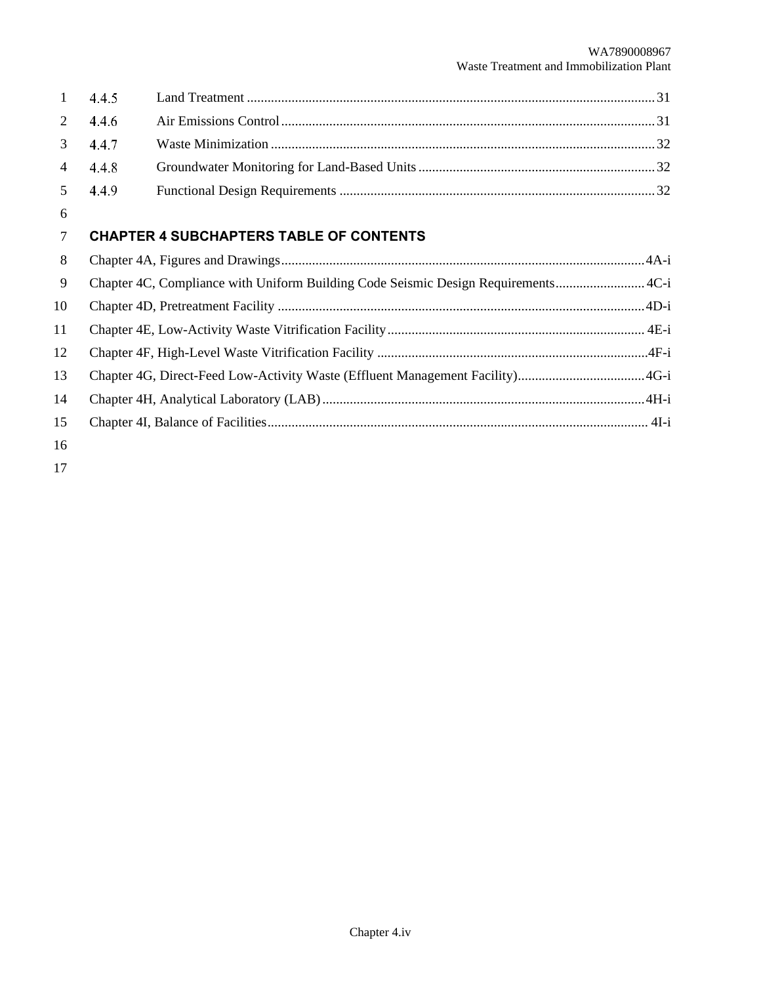### 

# **CHAPTER 4 SUBCHAPTERS TABLE OF CONTENTS**

| 8  |  |
|----|--|
| -9 |  |
| 10 |  |
| 11 |  |
| 12 |  |
| 13 |  |
| 14 |  |
| 15 |  |
| 16 |  |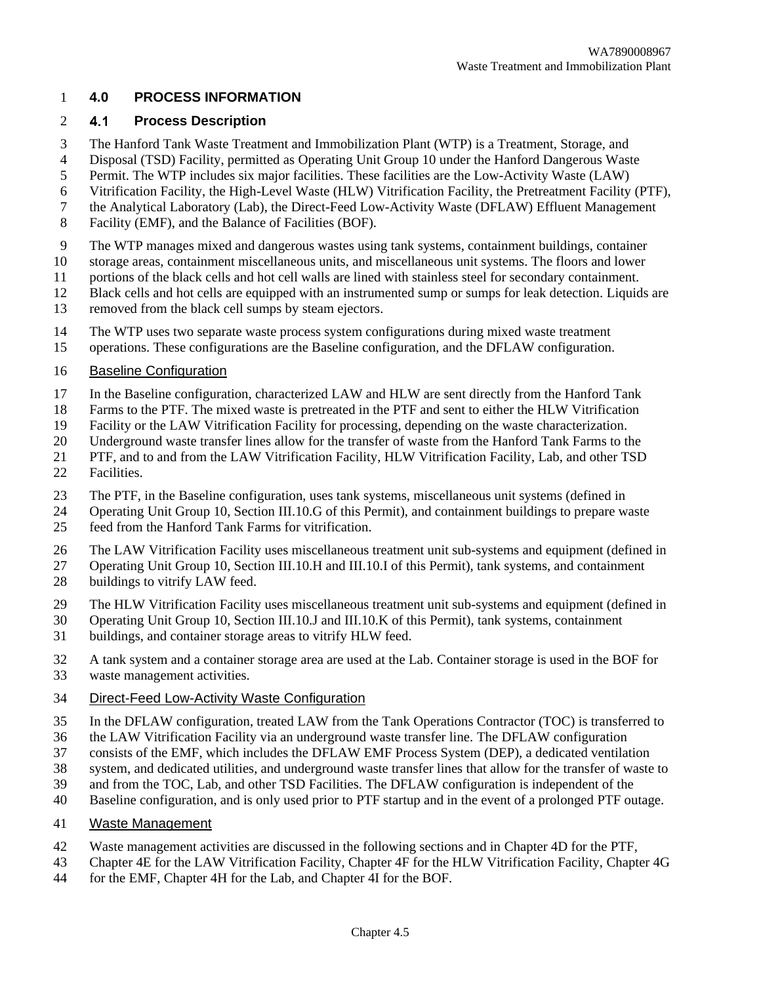### <span id="page-6-0"></span>**4.0 PROCESS INFORMATION**

#### <span id="page-6-1"></span>**4.1 Process Description**

- The Hanford Tank Waste Treatment and Immobilization Plant (WTP) is a Treatment, Storage, and
- Disposal (TSD) Facility, permitted as Operating Unit Group 10 under the Hanford Dangerous Waste
- Permit. The WTP includes six major facilities. These facilities are the Low-Activity Waste (LAW)
- Vitrification Facility, the High-Level Waste (HLW) Vitrification Facility, the Pretreatment Facility (PTF),
- the Analytical Laboratory (Lab), the Direct-Feed Low-Activity Waste (DFLAW) Effluent Management
- Facility (EMF), and the Balance of Facilities (BOF).
- The WTP manages mixed and dangerous wastes using tank systems, containment buildings, container
- storage areas, containment miscellaneous units, and miscellaneous unit systems. The floors and lower
- portions of the black cells and hot cell walls are lined with stainless steel for secondary containment.
- Black cells and hot cells are equipped with an instrumented sump or sumps for leak detection. Liquids are
- removed from the black cell sumps by steam ejectors.
- The WTP uses two separate waste process system configurations during mixed waste treatment
- operations. These configurations are the Baseline configuration, and the DFLAW configuration.

#### Baseline Configuration

- In the Baseline configuration, characterized LAW and HLW are sent directly from the Hanford Tank
- Farms to the PTF. The mixed waste is pretreated in the PTF and sent to either the HLW Vitrification
- Facility or the LAW Vitrification Facility for processing, depending on the waste characterization.
- Underground waste transfer lines allow for the transfer of waste from the Hanford Tank Farms to the
- PTF, and to and from the LAW Vitrification Facility, HLW Vitrification Facility, Lab, and other TSD
- Facilities.
- The PTF, in the Baseline configuration, uses tank systems, miscellaneous unit systems (defined in
- Operating Unit Group 10, Section III.10.G of this Permit), and containment buildings to prepare waste feed from the Hanford Tank Farms for vitrification.
- The LAW Vitrification Facility uses miscellaneous treatment unit sub-systems and equipment (defined in
- Operating Unit Group 10, Section III.10.H and III.10.I of this Permit), tank systems, and containment
- buildings to vitrify LAW feed.
- The HLW Vitrification Facility uses miscellaneous treatment unit sub-systems and equipment (defined in
- Operating Unit Group 10, Section III.10.J and III.10.K of this Permit), tank systems, containment
- buildings, and container storage areas to vitrify HLW feed.
- A tank system and a container storage area are used at the Lab. Container storage is used in the BOF for waste management activities.

#### Direct-Feed Low-Activity Waste Configuration

- In the DFLAW configuration, treated LAW from the Tank Operations Contractor (TOC) is transferred to
- the LAW Vitrification Facility via an underground waste transfer line. The DFLAW configuration
- consists of the EMF, which includes the DFLAW EMF Process System (DEP), a dedicated ventilation
- system, and dedicated utilities, and underground waste transfer lines that allow for the transfer of waste to
- and from the TOC, Lab, and other TSD Facilities. The DFLAW configuration is independent of the
- Baseline configuration, and is only used prior to PTF startup and in the event of a prolonged PTF outage.

#### Waste Management

- Waste management activities are discussed in the following sections and in Chapter 4D for the PTF,
- Chapter 4E for the LAW Vitrification Facility, Chapter 4F for the HLW Vitrification Facility, Chapter 4G
- for the EMF, Chapter 4H for the Lab, and Chapter 4I for the BOF.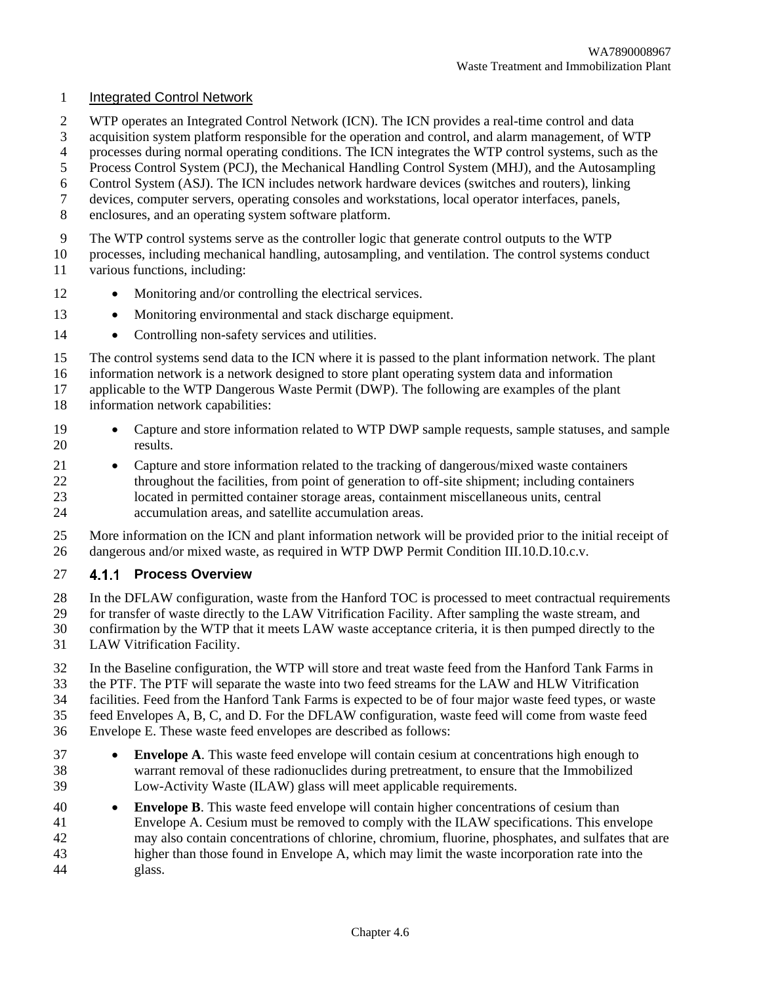#### Integrated Control Network

- WTP operates an Integrated Control Network (ICN). The ICN provides a real-time control and data
- acquisition system platform responsible for the operation and control, and alarm management, of WTP
- processes during normal operating conditions. The ICN integrates the WTP control systems, such as the
- Process Control System (PCJ), the Mechanical Handling Control System (MHJ), and the Autosampling

Control System (ASJ). The ICN includes network hardware devices (switches and routers), linking

- devices, computer servers, operating consoles and workstations, local operator interfaces, panels,
- enclosures, and an operating system software platform.
- The WTP control systems serve as the controller logic that generate control outputs to the WTP
- processes, including mechanical handling, autosampling, and ventilation. The control systems conduct
- various functions, including:
- 12 Monitoring and/or controlling the electrical services.
- Monitoring environmental and stack discharge equipment.
- Controlling non-safety services and utilities.
- The control systems send data to the ICN where it is passed to the plant information network. The plant
- information network is a network designed to store plant operating system data and information
- applicable to the WTP Dangerous Waste Permit (DWP). The following are examples of the plant information network capabilities:
- Capture and store information related to WTP DWP sample requests, sample statuses, and sample results.
- Capture and store information related to the tracking of dangerous/mixed waste containers throughout the facilities, from point of generation to off-site shipment; including containers located in permitted container storage areas, containment miscellaneous units, central accumulation areas, and satellite accumulation areas.
- More information on the ICN and plant information network will be provided prior to the initial receipt of dangerous and/or mixed waste, as required in WTP DWP Permit Condition III.10.D.10.c.v.

### <span id="page-7-0"></span>**4.1.1 Process Overview**

- In the DFLAW configuration, waste from the Hanford TOC is processed to meet contractual requirements
- for transfer of waste directly to the LAW Vitrification Facility. After sampling the waste stream, and
- confirmation by the WTP that it meets LAW waste acceptance criteria, it is then pumped directly to the
- LAW Vitrification Facility.
- In the Baseline configuration, the WTP will store and treat waste feed from the Hanford Tank Farms in
- the PTF. The PTF will separate the waste into two feed streams for the LAW and HLW Vitrification
- facilities. Feed from the Hanford Tank Farms is expected to be of four major waste feed types, or waste
- feed Envelopes A, B, C, and D. For the DFLAW configuration, waste feed will come from waste feed
- Envelope E. These waste feed envelopes are described as follows:
- **Envelope A**. This waste feed envelope will contain cesium at concentrations high enough to warrant removal of these radionuclides during pretreatment, to ensure that the Immobilized Low-Activity Waste (ILAW) glass will meet applicable requirements.
- **Envelope B**. This waste feed envelope will contain higher concentrations of cesium than Envelope A. Cesium must be removed to comply with the ILAW specifications. This envelope may also contain concentrations of chlorine, chromium, fluorine, phosphates, and sulfates that are higher than those found in Envelope A, which may limit the waste incorporation rate into the glass.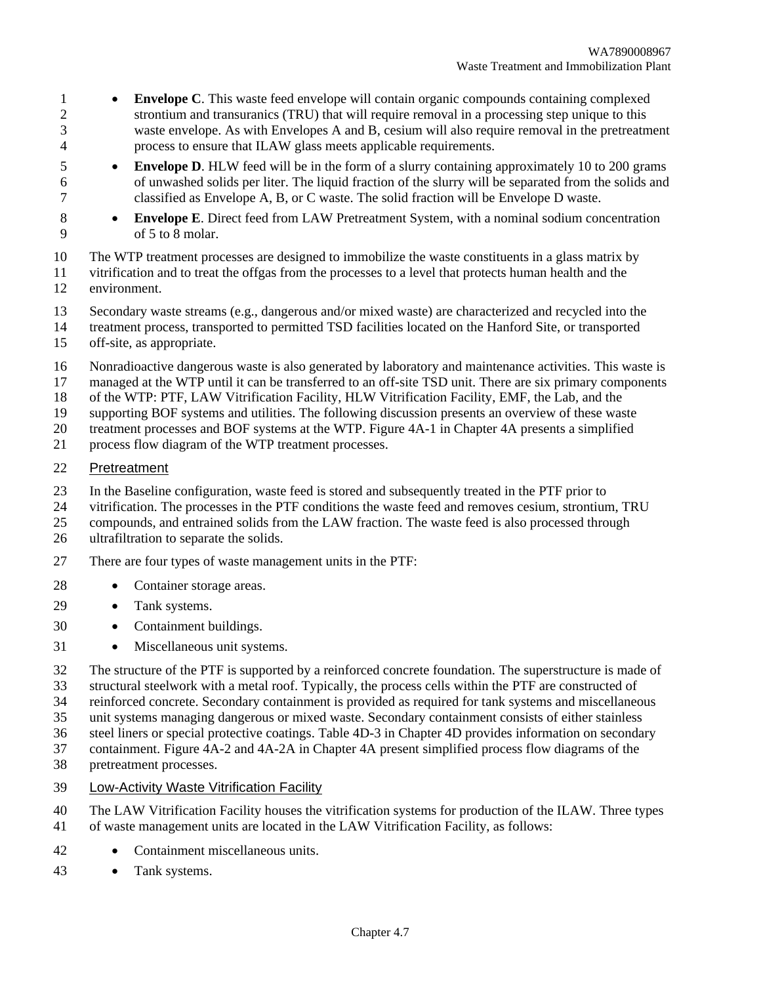- **Envelope C**. This waste feed envelope will contain organic compounds containing complexed strontium and transuranics (TRU) that will require removal in a processing step unique to this waste envelope. As with Envelopes A and B, cesium will also require removal in the pretreatment process to ensure that ILAW glass meets applicable requirements.
- **Envelope D.** HLW feed will be in the form of a slurry containing approximately 10 to 200 grams of unwashed solids per liter. The liquid fraction of the slurry will be separated from the solids and classified as Envelope A, B, or C waste. The solid fraction will be Envelope D waste.
- **Envelope E**. Direct feed from LAW Pretreatment System, with a nominal sodium concentration of 5 to 8 molar.
- The WTP treatment processes are designed to immobilize the waste constituents in a glass matrix by
- vitrification and to treat the offgas from the processes to a level that protects human health and the environment.
- Secondary waste streams (e.g., dangerous and/or mixed waste) are characterized and recycled into the
- treatment process, transported to permitted TSD facilities located on the Hanford Site, or transported
- off-site, as appropriate.
- Nonradioactive dangerous waste is also generated by laboratory and maintenance activities. This waste is
- managed at the WTP until it can be transferred to an off-site TSD unit. There are six primary components
- of the WTP: PTF, LAW Vitrification Facility, HLW Vitrification Facility, EMF, the Lab, and the
- supporting BOF systems and utilities. The following discussion presents an overview of these waste
- treatment processes and BOF systems at the WTP. Figure 4A-1 in Chapter 4A presents a simplified
- process flow diagram of the WTP treatment processes.

#### Pretreatment

- In the Baseline configuration, waste feed is stored and subsequently treated in the PTF prior to
- vitrification. The processes in the PTF conditions the waste feed and removes cesium, strontium, TRU
- compounds, and entrained solids from the LAW fraction. The waste feed is also processed through
- ultrafiltration to separate the solids.
- There are four types of waste management units in the PTF:
- Container storage areas.
- Tank systems.
- Containment buildings.
- Miscellaneous unit systems.

 The structure of the PTF is supported by a reinforced concrete foundation. The superstructure is made of structural steelwork with a metal roof. Typically, the process cells within the PTF are constructed of reinforced concrete. Secondary containment is provided as required for tank systems and miscellaneous unit systems managing dangerous or mixed waste. Secondary containment consists of either stainless steel liners or special protective coatings. Table 4D-3 in Chapter 4D provides information on secondary containment. Figure 4A-2 and 4A-2A in Chapter 4A present simplified process flow diagrams of the pretreatment processes.

- Low-Activity Waste Vitrification Facility
- The LAW Vitrification Facility houses the vitrification systems for production of the ILAW. Three types of waste management units are located in the LAW Vitrification Facility, as follows:
- Containment miscellaneous units.
- Tank systems.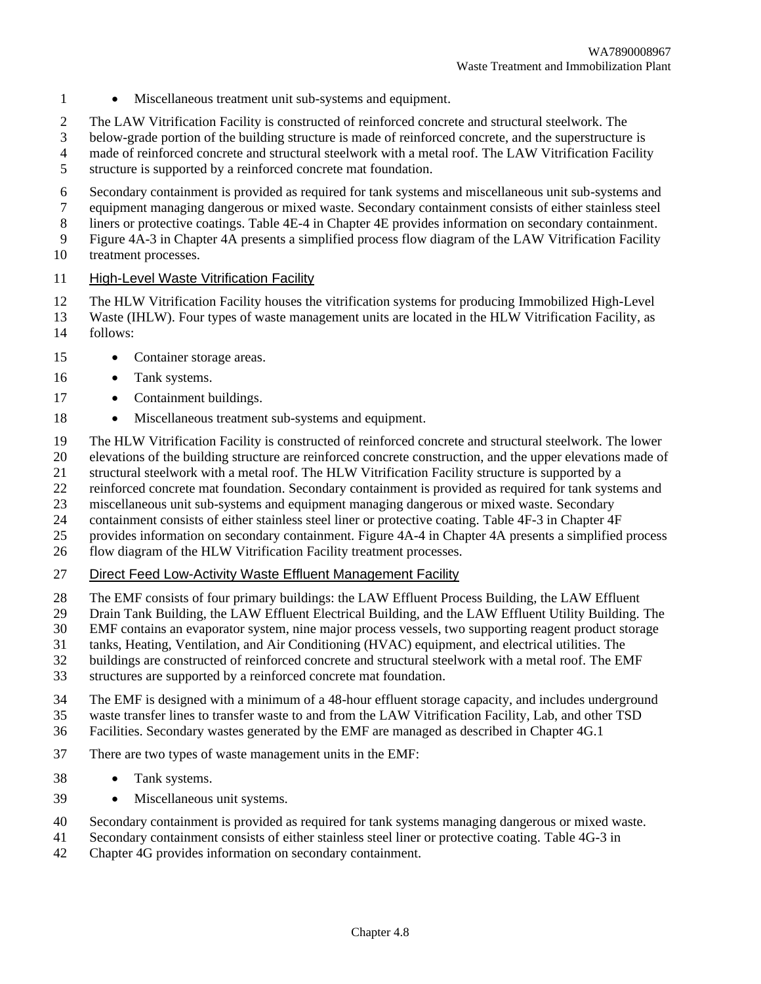- Miscellaneous treatment unit sub-systems and equipment.
- The LAW Vitrification Facility is constructed of reinforced concrete and structural steelwork. The
- below-grade portion of the building structure is made of reinforced concrete, and the superstructure is
- made of reinforced concrete and structural steelwork with a metal roof. The LAW Vitrification Facility
- structure is supported by a reinforced concrete mat foundation.
- Secondary containment is provided as required for tank systems and miscellaneous unit sub-systems and equipment managing dangerous or mixed waste. Secondary containment consists of either stainless steel
- liners or protective coatings. Table 4E-4 in Chapter 4E provides information on secondary containment.
- Figure 4A-3 in Chapter 4A presents a simplified process flow diagram of the LAW Vitrification Facility
- treatment processes.

#### High-Level Waste Vitrification Facility

- The HLW Vitrification Facility houses the vitrification systems for producing Immobilized High-Level
- Waste (IHLW). Four types of waste management units are located in the HLW Vitrification Facility, as follows:
- Container storage areas.
- Tank systems.
- 17 Containment buildings.
- Miscellaneous treatment sub-systems and equipment.
- The HLW Vitrification Facility is constructed of reinforced concrete and structural steelwork. The lower
- elevations of the building structure are reinforced concrete construction, and the upper elevations made of
- structural steelwork with a metal roof. The HLW Vitrification Facility structure is supported by a
- reinforced concrete mat foundation. Secondary containment is provided as required for tank systems and
- miscellaneous unit sub-systems and equipment managing dangerous or mixed waste. Secondary
- containment consists of either stainless steel liner or protective coating. Table 4F-3 in Chapter 4F
- provides information on secondary containment. Figure 4A-4 in Chapter 4A presents a simplified process
- flow diagram of the HLW Vitrification Facility treatment processes.

#### 27 Direct Feed Low-Activity Waste Effluent Management Facility

- The EMF consists of four primary buildings: the LAW Effluent Process Building, the LAW Effluent
- Drain Tank Building, the LAW Effluent Electrical Building, and the LAW Effluent Utility Building. The
- EMF contains an evaporator system, nine major process vessels, two supporting reagent product storage
- tanks, Heating, Ventilation, and Air Conditioning (HVAC) equipment, and electrical utilities. The
- buildings are constructed of reinforced concrete and structural steelwork with a metal roof. The EMF
- structures are supported by a reinforced concrete mat foundation.
- The EMF is designed with a minimum of a 48-hour effluent storage capacity, and includes underground
- waste transfer lines to transfer waste to and from the LAW Vitrification Facility, Lab, and other TSD
- Facilities. Secondary wastes generated by the EMF are managed as described in Chapter 4G.1
- There are two types of waste management units in the EMF:
- Tank systems.
- Miscellaneous unit systems.
- Secondary containment is provided as required for tank systems managing dangerous or mixed waste.
- Secondary containment consists of either stainless steel liner or protective coating. Table 4G-3 in
- Chapter 4G provides information on secondary containment.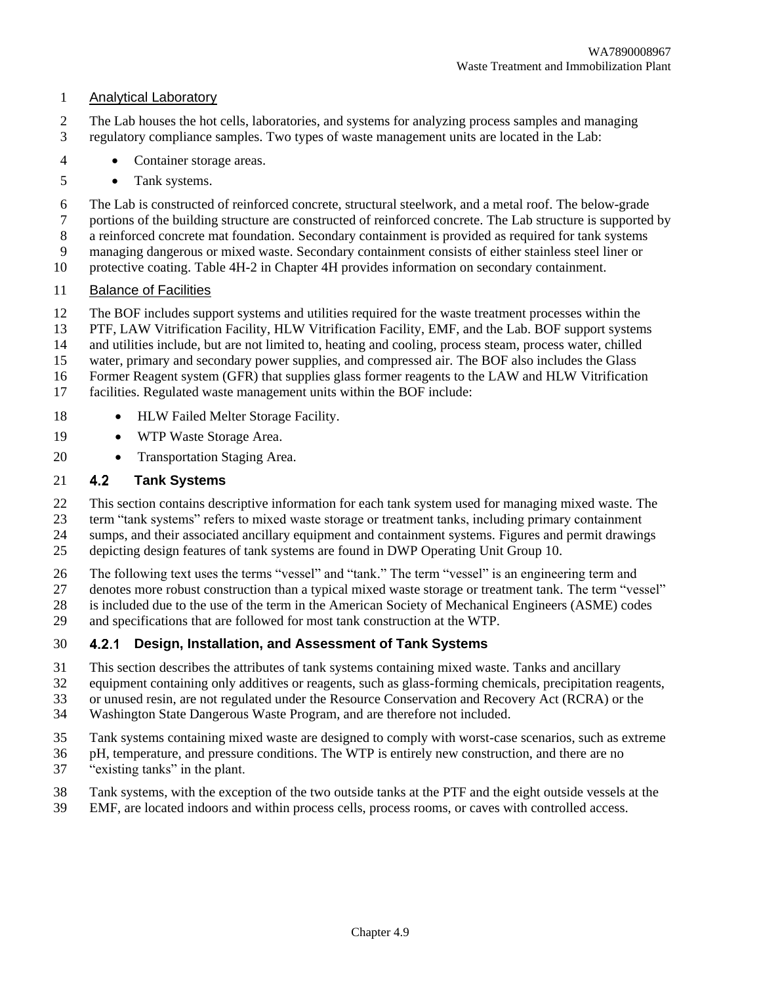### 1 Analytical Laboratory

 The Lab houses the hot cells, laboratories, and systems for analyzing process samples and managing regulatory compliance samples. Two types of waste management units are located in the Lab:

- Container storage areas.
- Tank systems.
- The Lab is constructed of reinforced concrete, structural steelwork, and a metal roof. The below-grade
- portions of the building structure are constructed of reinforced concrete. The Lab structure is supported by
- a reinforced concrete mat foundation. Secondary containment is provided as required for tank systems
- managing dangerous or mixed waste. Secondary containment consists of either stainless steel liner or
- protective coating. Table 4H-2 in Chapter 4H provides information on secondary containment.

#### Balance of Facilities

- The BOF includes support systems and utilities required for the waste treatment processes within the
- PTF, LAW Vitrification Facility, HLW Vitrification Facility, EMF, and the Lab. BOF support systems
- and utilities include, but are not limited to, heating and cooling, process steam, process water, chilled
- water, primary and secondary power supplies, and compressed air. The BOF also includes the Glass
- Former Reagent system (GFR) that supplies glass former reagents to the LAW and HLW Vitrification
- facilities. Regulated waste management units within the BOF include:
- 18 HLW Failed Melter Storage Facility.
- 19 WTP Waste Storage Area.
- 20 Transportation Staging Area.

#### <span id="page-10-0"></span>**Tank Systems**

This section contains descriptive information for each tank system used for managing mixed waste. The

- term "tank systems" refers to mixed waste storage or treatment tanks, including primary containment sumps, and their associated ancillary equipment and containment systems. Figures and permit drawings
- depicting design features of tank systems are found in DWP Operating Unit Group 10.
- The following text uses the terms "vessel" and "tank." The term "vessel" is an engineering term and
- denotes more robust construction than a typical mixed waste storage or treatment tank. The term "vessel"
- is included due to the use of the term in the American Society of Mechanical Engineers (ASME) codes
- and specifications that are followed for most tank construction at the WTP.

## <span id="page-10-1"></span>**Design, Installation, and Assessment of Tank Systems**

- This section describes the attributes of tank systems containing mixed waste. Tanks and ancillary
- equipment containing only additives or reagents, such as glass-forming chemicals, precipitation reagents,
- or unused resin, are not regulated under the Resource Conservation and Recovery Act (RCRA) or the
- Washington State Dangerous Waste Program, and are therefore not included.
- Tank systems containing mixed waste are designed to comply with worst-case scenarios, such as extreme
- pH, temperature, and pressure conditions. The WTP is entirely new construction, and there are no
- "existing tanks" in the plant.
- Tank systems, with the exception of the two outside tanks at the PTF and the eight outside vessels at the
- EMF, are located indoors and within process cells, process rooms, or caves with controlled access.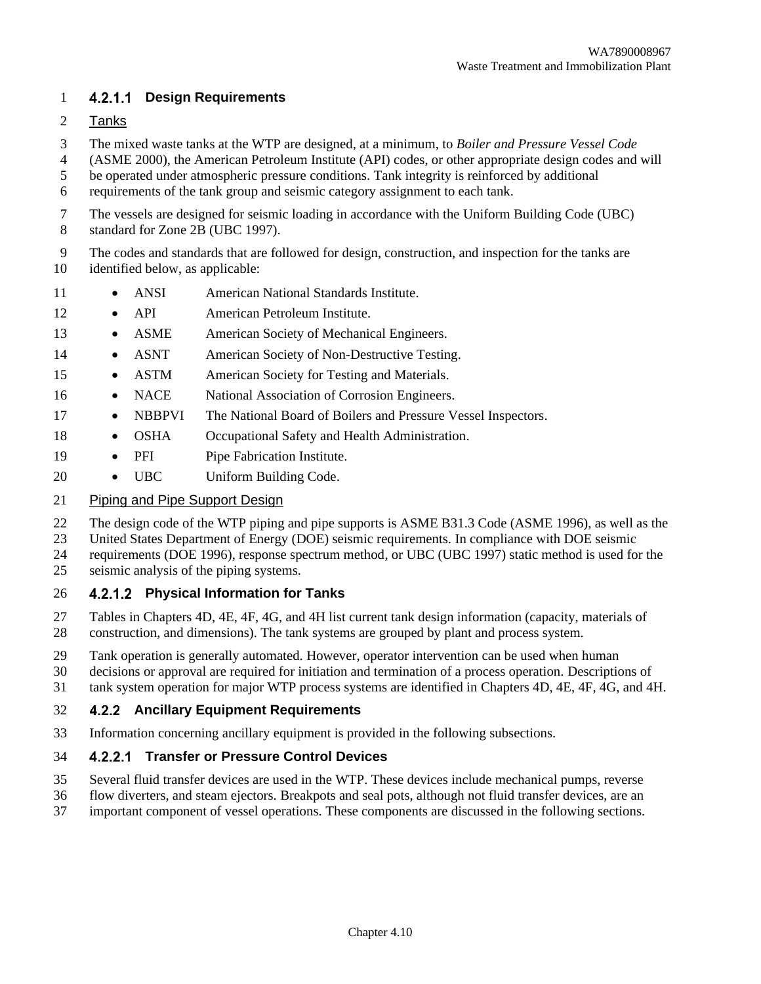### **Design Requirements**

#### Tanks

- The mixed waste tanks at the WTP are designed, at a minimum, to *Boiler and Pressure Vessel Code*
- (ASME 2000), the American Petroleum Institute (API) codes, or other appropriate design codes and will
- be operated under atmospheric pressure conditions. Tank integrity is reinforced by additional
- requirements of the tank group and seismic category assignment to each tank.
- The vessels are designed for seismic loading in accordance with the Uniform Building Code (UBC) 8 standard for Zone 2B (UBC 1997).
- The codes and standards that are followed for design, construction, and inspection for the tanks are identified below, as applicable:
- ANSI American National Standards Institute.
- 12 API American Petroleum Institute.
- ASME American Society of Mechanical Engineers.
- ASNT American Society of Non-Destructive Testing.
- ASTM American Society for Testing and Materials.
- NACE National Association of Corrosion Engineers.
- NBBPVI The National Board of Boilers and Pressure Vessel Inspectors.
- OSHA Occupational Safety and Health Administration.
- 19 PFI Pipe Fabrication Institute.
- 20 UBC Uniform Building Code.

#### Piping and Pipe Support Design

The design code of the WTP piping and pipe supports is ASME B31.3 Code (ASME 1996), as well as the

- United States Department of Energy (DOE) seismic requirements. In compliance with DOE seismic
- requirements (DOE 1996), response spectrum method, or UBC (UBC 1997) static method is used for the
- seismic analysis of the piping systems.

#### **Physical Information for Tanks**

- Tables in Chapters 4D, 4E, 4F, 4G, and 4H list current tank design information (capacity, materials of construction, and dimensions). The tank systems are grouped by plant and process system.
- Tank operation is generally automated. However, operator intervention can be used when human
- decisions or approval are required for initiation and termination of a process operation. Descriptions of
- tank system operation for major WTP process systems are identified in Chapters 4D, 4E, 4F, 4G, and 4H.

#### <span id="page-11-0"></span>**Ancillary Equipment Requirements**

Information concerning ancillary equipment is provided in the following subsections.

#### **Transfer or Pressure Control Devices**

- Several fluid transfer devices are used in the WTP. These devices include mechanical pumps, reverse
- flow diverters, and steam ejectors. Breakpots and seal pots, although not fluid transfer devices, are an
- important component of vessel operations. These components are discussed in the following sections.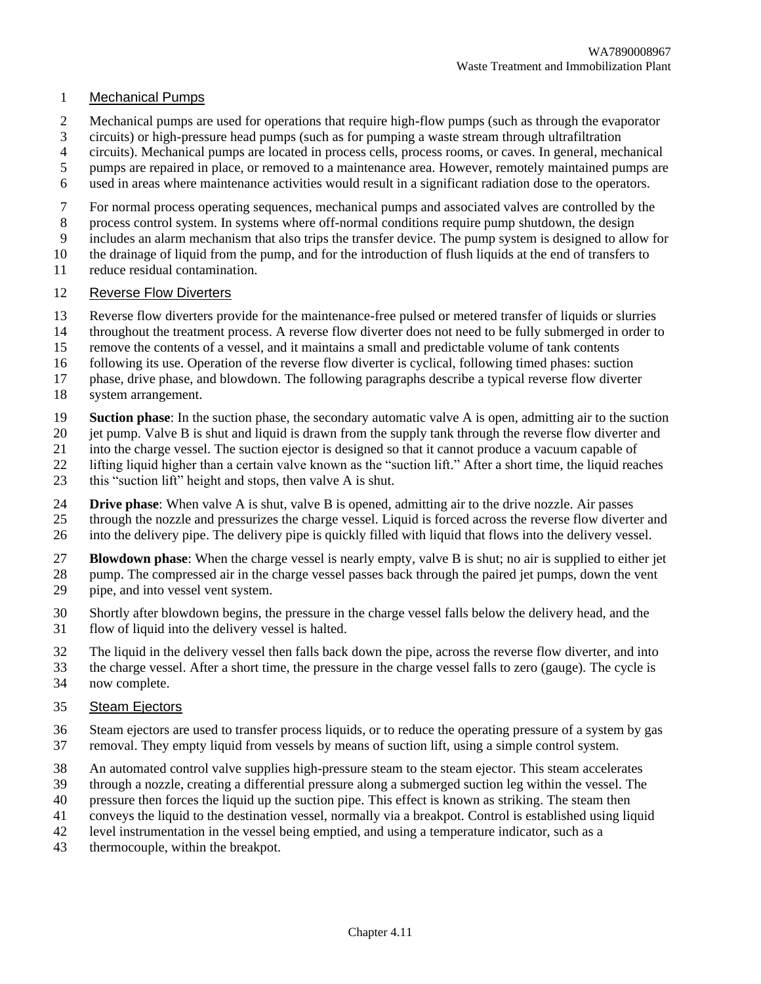### Mechanical Pumps

- Mechanical pumps are used for operations that require high-flow pumps (such as through the evaporator
- circuits) or high-pressure head pumps (such as for pumping a waste stream through ultrafiltration
- circuits). Mechanical pumps are located in process cells, process rooms, or caves. In general, mechanical
- pumps are repaired in place, or removed to a maintenance area. However, remotely maintained pumps are
- used in areas where maintenance activities would result in a significant radiation dose to the operators.
- For normal process operating sequences, mechanical pumps and associated valves are controlled by the
- process control system. In systems where off-normal conditions require pump shutdown, the design
- includes an alarm mechanism that also trips the transfer device. The pump system is designed to allow for
- the drainage of liquid from the pump, and for the introduction of flush liquids at the end of transfers to
- reduce residual contamination.

#### Reverse Flow Diverters

- Reverse flow diverters provide for the maintenance-free pulsed or metered transfer of liquids or slurries
- throughout the treatment process. A reverse flow diverter does not need to be fully submerged in order to
- remove the contents of a vessel, and it maintains a small and predictable volume of tank contents
- following its use. Operation of the reverse flow diverter is cyclical, following timed phases: suction
- phase, drive phase, and blowdown. The following paragraphs describe a typical reverse flow diverter
- system arrangement.
- **Suction phase**: In the suction phase, the secondary automatic valve A is open, admitting air to the suction
- 20 jet pump. Valve B is shut and liquid is drawn from the supply tank through the reverse flow diverter and
- into the charge vessel. The suction ejector is designed so that it cannot produce a vacuum capable of
- lifting liquid higher than a certain valve known as the "suction lift." After a short time, the liquid reaches
- this "suction lift" height and stops, then valve A is shut.
- **Drive phase**: When valve A is shut, valve B is opened, admitting air to the drive nozzle. Air passes
- through the nozzle and pressurizes the charge vessel. Liquid is forced across the reverse flow diverter and
- into the delivery pipe. The delivery pipe is quickly filled with liquid that flows into the delivery vessel.
- **Blowdown phase**: When the charge vessel is nearly empty, valve B is shut; no air is supplied to either jet pump. The compressed air in the charge vessel passes back through the paired jet pumps, down the vent
- 29 pipe, and into vessel vent system.
- Shortly after blowdown begins, the pressure in the charge vessel falls below the delivery head, and the flow of liquid into the delivery vessel is halted.
- The liquid in the delivery vessel then falls back down the pipe, across the reverse flow diverter, and into
- the charge vessel. After a short time, the pressure in the charge vessel falls to zero (gauge). The cycle is
- now complete.

#### Steam Ejectors

- Steam ejectors are used to transfer process liquids, or to reduce the operating pressure of a system by gas
- removal. They empty liquid from vessels by means of suction lift, using a simple control system.
- An automated control valve supplies high-pressure steam to the steam ejector. This steam accelerates
- through a nozzle, creating a differential pressure along a submerged suction leg within the vessel. The
- pressure then forces the liquid up the suction pipe. This effect is known as striking. The steam then
- conveys the liquid to the destination vessel, normally via a breakpot. Control is established using liquid
- level instrumentation in the vessel being emptied, and using a temperature indicator, such as a
- thermocouple, within the breakpot.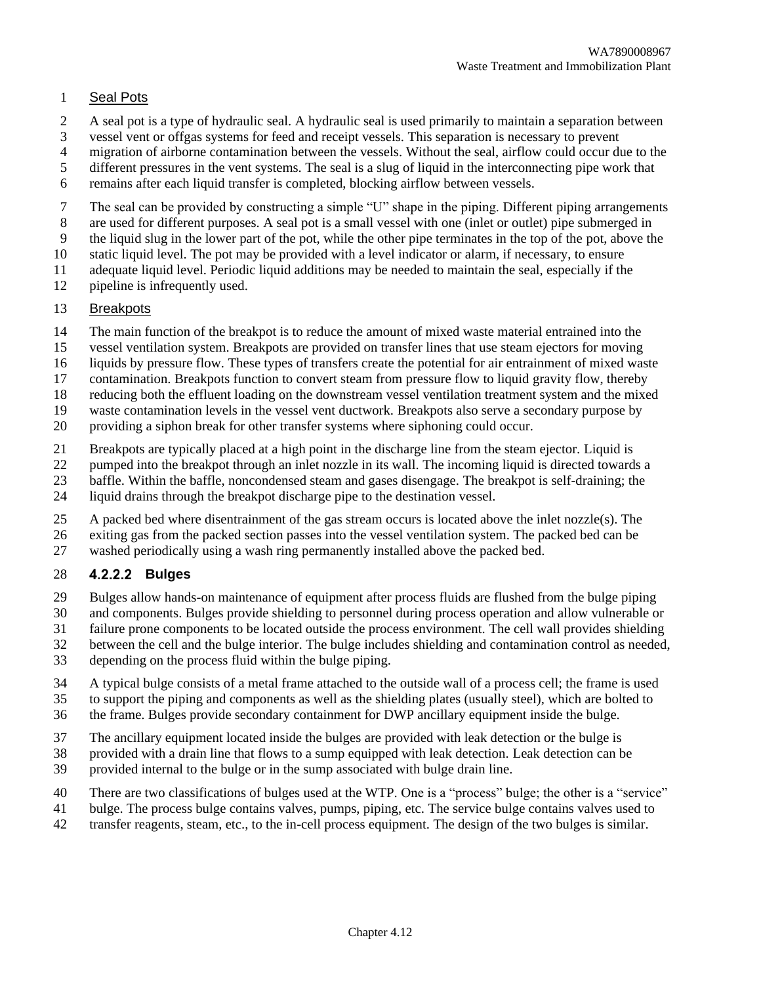### Seal Pots

- A seal pot is a type of hydraulic seal. A hydraulic seal is used primarily to maintain a separation between
- vessel vent or offgas systems for feed and receipt vessels. This separation is necessary to prevent
- migration of airborne contamination between the vessels. Without the seal, airflow could occur due to the
- different pressures in the vent systems. The seal is a slug of liquid in the interconnecting pipe work that
- remains after each liquid transfer is completed, blocking airflow between vessels.
- The seal can be provided by constructing a simple "U" shape in the piping. Different piping arrangements
- are used for different purposes. A seal pot is a small vessel with one (inlet or outlet) pipe submerged in
- the liquid slug in the lower part of the pot, while the other pipe terminates in the top of the pot, above the
- static liquid level. The pot may be provided with a level indicator or alarm, if necessary, to ensure
- adequate liquid level. Periodic liquid additions may be needed to maintain the seal, especially if the
- pipeline is infrequently used.

#### Breakpots

- The main function of the breakpot is to reduce the amount of mixed waste material entrained into the
- vessel ventilation system. Breakpots are provided on transfer lines that use steam ejectors for moving
- liquids by pressure flow. These types of transfers create the potential for air entrainment of mixed waste
- contamination. Breakpots function to convert steam from pressure flow to liquid gravity flow, thereby
- reducing both the effluent loading on the downstream vessel ventilation treatment system and the mixed
- waste contamination levels in the vessel vent ductwork. Breakpots also serve a secondary purpose by
- providing a siphon break for other transfer systems where siphoning could occur.
- Breakpots are typically placed at a high point in the discharge line from the steam ejector. Liquid is
- pumped into the breakpot through an inlet nozzle in its wall. The incoming liquid is directed towards a
- baffle. Within the baffle, noncondensed steam and gases disengage. The breakpot is self-draining; the
- liquid drains through the breakpot discharge pipe to the destination vessel.
- A packed bed where disentrainment of the gas stream occurs is located above the inlet nozzle(s). The
- exiting gas from the packed section passes into the vessel ventilation system. The packed bed can be
- washed periodically using a wash ring permanently installed above the packed bed.

### **Bulges**

- Bulges allow hands-on maintenance of equipment after process fluids are flushed from the bulge piping
- and components. Bulges provide shielding to personnel during process operation and allow vulnerable or
- failure prone components to be located outside the process environment. The cell wall provides shielding
- between the cell and the bulge interior. The bulge includes shielding and contamination control as needed,
- depending on the process fluid within the bulge piping.
- A typical bulge consists of a metal frame attached to the outside wall of a process cell; the frame is used
- to support the piping and components as well as the shielding plates (usually steel), which are bolted to
- the frame. Bulges provide secondary containment for DWP ancillary equipment inside the bulge.
- The ancillary equipment located inside the bulges are provided with leak detection or the bulge is
- provided with a drain line that flows to a sump equipped with leak detection. Leak detection can be
- provided internal to the bulge or in the sump associated with bulge drain line.
- There are two classifications of bulges used at the WTP. One is a "process" bulge; the other is a "service"
- bulge. The process bulge contains valves, pumps, piping, etc. The service bulge contains valves used to
- transfer reagents, steam, etc., to the in-cell process equipment. The design of the two bulges is similar.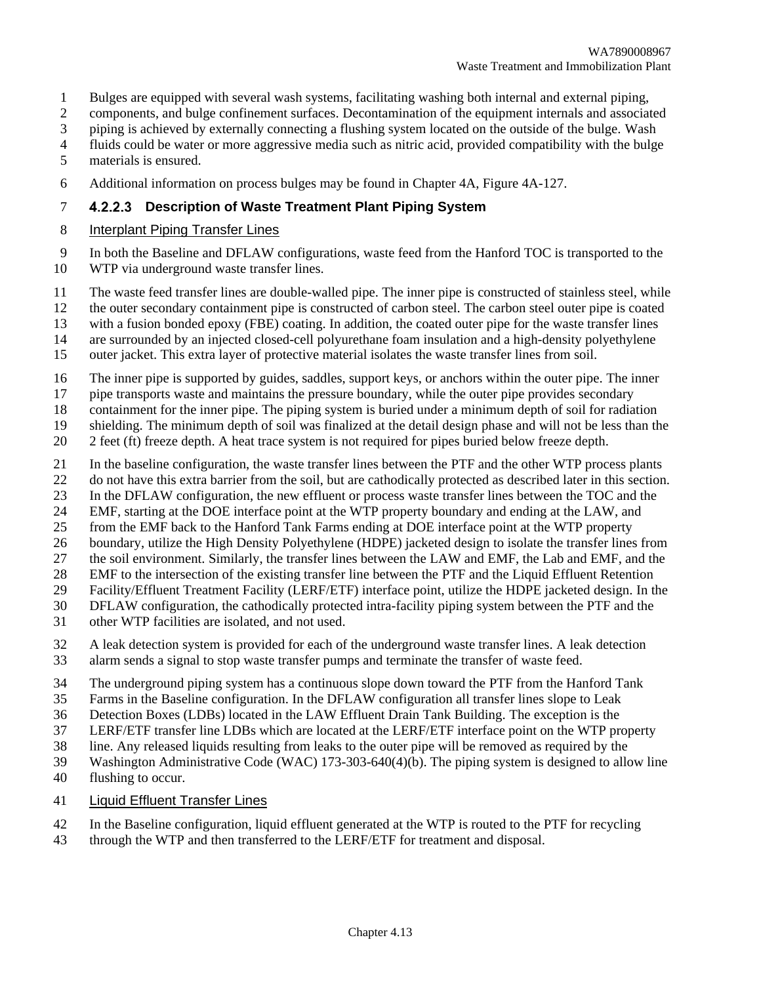- Bulges are equipped with several wash systems, facilitating washing both internal and external piping,
- components, and bulge confinement surfaces. Decontamination of the equipment internals and associated
- piping is achieved by externally connecting a flushing system located on the outside of the bulge. Wash
- fluids could be water or more aggressive media such as nitric acid, provided compatibility with the bulge
- materials is ensured.
- Additional information on process bulges may be found in Chapter 4A, Figure 4A-127.

#### **Description of Waste Treatment Plant Piping System**

#### Interplant Piping Transfer Lines

- In both the Baseline and DFLAW configurations, waste feed from the Hanford TOC is transported to the WTP via underground waste transfer lines.
- The waste feed transfer lines are double-walled pipe. The inner pipe is constructed of stainless steel, while
- the outer secondary containment pipe is constructed of carbon steel. The carbon steel outer pipe is coated
- with a fusion bonded epoxy (FBE) coating. In addition, the coated outer pipe for the waste transfer lines
- are surrounded by an injected closed-cell polyurethane foam insulation and a high-density polyethylene
- outer jacket. This extra layer of protective material isolates the waste transfer lines from soil.
- The inner pipe is supported by guides, saddles, support keys, or anchors within the outer pipe. The inner
- pipe transports waste and maintains the pressure boundary, while the outer pipe provides secondary
- containment for the inner pipe. The piping system is buried under a minimum depth of soil for radiation
- shielding. The minimum depth of soil was finalized at the detail design phase and will not be less than the
- 2 feet (ft) freeze depth. A heat trace system is not required for pipes buried below freeze depth.
- In the baseline configuration, the waste transfer lines between the PTF and the other WTP process plants
- do not have this extra barrier from the soil, but are cathodically protected as described later in this section.
- In the DFLAW configuration, the new effluent or process waste transfer lines between the TOC and the
- EMF, starting at the DOE interface point at the WTP property boundary and ending at the LAW, and
- from the EMF back to the Hanford Tank Farms ending at DOE interface point at the WTP property
- boundary, utilize the High Density Polyethylene (HDPE) jacketed design to isolate the transfer lines from
- the soil environment. Similarly, the transfer lines between the LAW and EMF, the Lab and EMF, and the
- EMF to the intersection of the existing transfer line between the PTF and the Liquid Effluent Retention
- Facility/Effluent Treatment Facility (LERF/ETF) interface point, utilize the HDPE jacketed design. In the DFLAW configuration, the cathodically protected intra-facility piping system between the PTF and the
- other WTP facilities are isolated, and not used.
	- A leak detection system is provided for each of the underground waste transfer lines. A leak detection
	- alarm sends a signal to stop waste transfer pumps and terminate the transfer of waste feed.
	- The underground piping system has a continuous slope down toward the PTF from the Hanford Tank
	- Farms in the Baseline configuration. In the DFLAW configuration all transfer lines slope to Leak
	- Detection Boxes (LDBs) located in the LAW Effluent Drain Tank Building. The exception is the
	- LERF/ETF transfer line LDBs which are located at the LERF/ETF interface point on the WTP property
	- line. Any released liquids resulting from leaks to the outer pipe will be removed as required by the
	- Washington Administrative Code (WAC) 173-303-640(4)(b). The piping system is designed to allow line
	- flushing to occur.
	- Liquid Effluent Transfer Lines
	- In the Baseline configuration, liquid effluent generated at the WTP is routed to the PTF for recycling
	- through the WTP and then transferred to the LERF/ETF for treatment and disposal.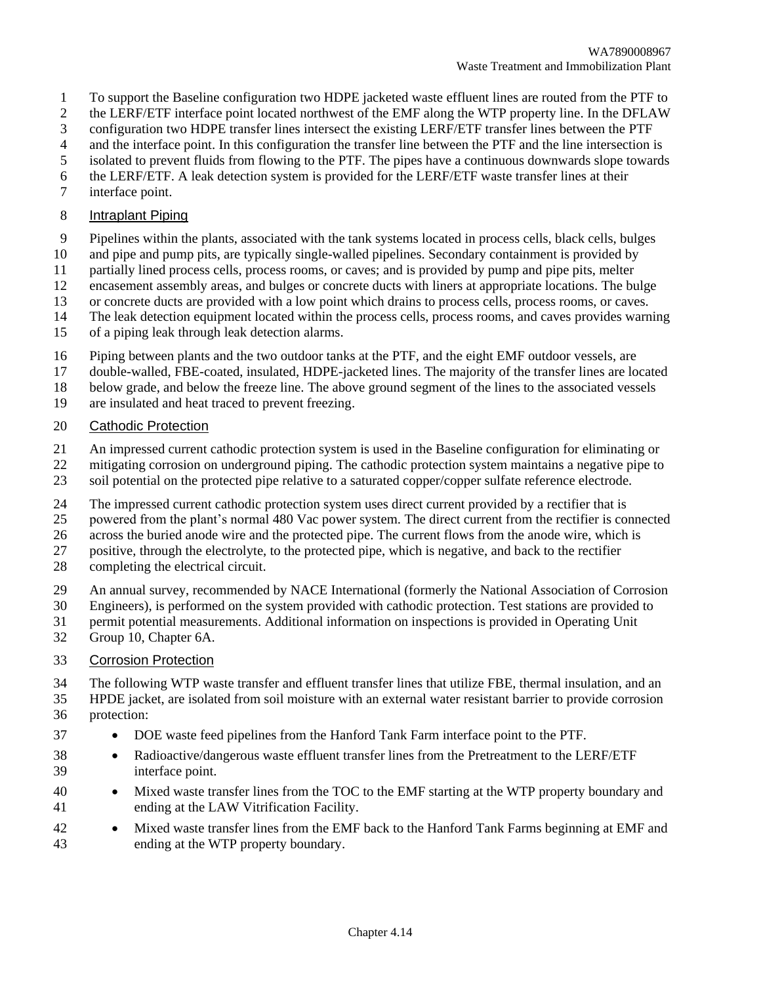- To support the Baseline configuration two HDPE jacketed waste effluent lines are routed from the PTF to
- the LERF/ETF interface point located northwest of the EMF along the WTP property line. In the DFLAW
- configuration two HDPE transfer lines intersect the existing LERF/ETF transfer lines between the PTF
- and the interface point. In this configuration the transfer line between the PTF and the line intersection is
- isolated to prevent fluids from flowing to the PTF. The pipes have a continuous downwards slope towards
- the LERF/ETF. A leak detection system is provided for the LERF/ETF waste transfer lines at their
- interface point.

#### Intraplant Piping

- Pipelines within the plants, associated with the tank systems located in process cells, black cells, bulges
- and pipe and pump pits, are typically single-walled pipelines. Secondary containment is provided by
- partially lined process cells, process rooms, or caves; and is provided by pump and pipe pits, melter
- encasement assembly areas, and bulges or concrete ducts with liners at appropriate locations. The bulge
- or concrete ducts are provided with a low point which drains to process cells, process rooms, or caves.
- The leak detection equipment located within the process cells, process rooms, and caves provides warning
- of a piping leak through leak detection alarms.
- Piping between plants and the two outdoor tanks at the PTF, and the eight EMF outdoor vessels, are
- double-walled, FBE-coated, insulated, HDPE-jacketed lines. The majority of the transfer lines are located
- below grade, and below the freeze line. The above ground segment of the lines to the associated vessels
- are insulated and heat traced to prevent freezing.

#### Cathodic Protection

- An impressed current cathodic protection system is used in the Baseline configuration for eliminating or
- mitigating corrosion on underground piping. The cathodic protection system maintains a negative pipe to
- soil potential on the protected pipe relative to a saturated copper/copper sulfate reference electrode.
- The impressed current cathodic protection system uses direct current provided by a rectifier that is
- powered from the plant's normal 480 Vac power system. The direct current from the rectifier is connected
- across the buried anode wire and the protected pipe. The current flows from the anode wire, which is
- positive, through the electrolyte, to the protected pipe, which is negative, and back to the rectifier
- completing the electrical circuit.
- An annual survey, recommended by NACE International (formerly the National Association of Corrosion
- Engineers), is performed on the system provided with cathodic protection. Test stations are provided to
- permit potential measurements. Additional information on inspections is provided in Operating Unit
- Group 10, Chapter 6A.

#### Corrosion Protection

- The following WTP waste transfer and effluent transfer lines that utilize FBE, thermal insulation, and an
- HPDE jacket, are isolated from soil moisture with an external water resistant barrier to provide corrosion protection:
- DOE waste feed pipelines from the Hanford Tank Farm interface point to the PTF.
- Radioactive/dangerous waste effluent transfer lines from the Pretreatment to the LERF/ETF interface point.
- Mixed waste transfer lines from the TOC to the EMF starting at the WTP property boundary and ending at the LAW Vitrification Facility.
- Mixed waste transfer lines from the EMF back to the Hanford Tank Farms beginning at EMF and ending at the WTP property boundary.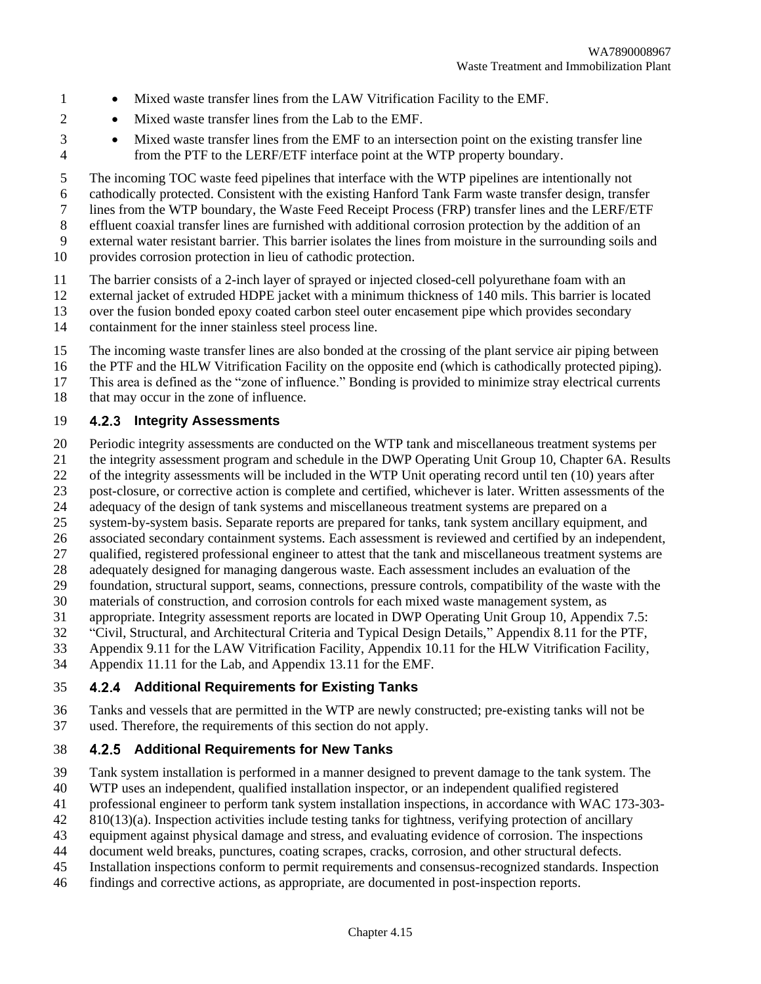- Mixed waste transfer lines from the LAW Vitrification Facility to the EMF.
- Mixed waste transfer lines from the Lab to the EMF.
- Mixed waste transfer lines from the EMF to an intersection point on the existing transfer line from the PTF to the LERF/ETF interface point at the WTP property boundary.

The incoming TOC waste feed pipelines that interface with the WTP pipelines are intentionally not

cathodically protected. Consistent with the existing Hanford Tank Farm waste transfer design, transfer

lines from the WTP boundary, the Waste Feed Receipt Process (FRP) transfer lines and the LERF/ETF

effluent coaxial transfer lines are furnished with additional corrosion protection by the addition of an

external water resistant barrier. This barrier isolates the lines from moisture in the surrounding soils and

provides corrosion protection in lieu of cathodic protection.

The barrier consists of a 2-inch layer of sprayed or injected closed-cell polyurethane foam with an

external jacket of extruded HDPE jacket with a minimum thickness of 140 mils. This barrier is located

- over the fusion bonded epoxy coated carbon steel outer encasement pipe which provides secondary
- containment for the inner stainless steel process line.

The incoming waste transfer lines are also bonded at the crossing of the plant service air piping between

the PTF and the HLW Vitrification Facility on the opposite end (which is cathodically protected piping).

This area is defined as the "zone of influence." Bonding is provided to minimize stray electrical currents

18 that may occur in the zone of influence.

### <span id="page-16-0"></span>**Integrity Assessments**

Periodic integrity assessments are conducted on the WTP tank and miscellaneous treatment systems per

- the integrity assessment program and schedule in the DWP Operating Unit Group 10, Chapter 6A. Results
- of the integrity assessments will be included in the WTP Unit operating record until ten (10) years after
- post-closure, or corrective action is complete and certified, whichever is later. Written assessments of the
- adequacy of the design of tank systems and miscellaneous treatment systems are prepared on a
- system-by-system basis. Separate reports are prepared for tanks, tank system ancillary equipment, and
- associated secondary containment systems. Each assessment is reviewed and certified by an independent,
- qualified, registered professional engineer to attest that the tank and miscellaneous treatment systems are
- adequately designed for managing dangerous waste. Each assessment includes an evaluation of the

foundation, structural support, seams, connections, pressure controls, compatibility of the waste with the

- materials of construction, and corrosion controls for each mixed waste management system, as
- appropriate. Integrity assessment reports are located in DWP Operating Unit Group 10, Appendix 7.5:
- "Civil, Structural, and Architectural Criteria and Typical Design Details," Appendix 8.11 for the PTF,

Appendix 9.11 for the LAW Vitrification Facility, Appendix 10.11 for the HLW Vitrification Facility,

Appendix 11.11 for the Lab, and Appendix 13.11 for the EMF.

#### <span id="page-16-1"></span>**Additional Requirements for Existing Tanks**

- Tanks and vessels that are permitted in the WTP are newly constructed; pre-existing tanks will not be
- used. Therefore, the requirements of this section do not apply.

#### <span id="page-16-2"></span>**Additional Requirements for New Tanks**

Tank system installation is performed in a manner designed to prevent damage to the tank system. The

- WTP uses an independent, qualified installation inspector, or an independent qualified registered
- professional engineer to perform tank system installation inspections, in accordance with WAC 173-303-
- 810(13)(a). Inspection activities include testing tanks for tightness, verifying protection of ancillary
- equipment against physical damage and stress, and evaluating evidence of corrosion. The inspections
- document weld breaks, punctures, coating scrapes, cracks, corrosion, and other structural defects.
- Installation inspections conform to permit requirements and consensus-recognized standards. Inspection
- findings and corrective actions, as appropriate, are documented in post-inspection reports.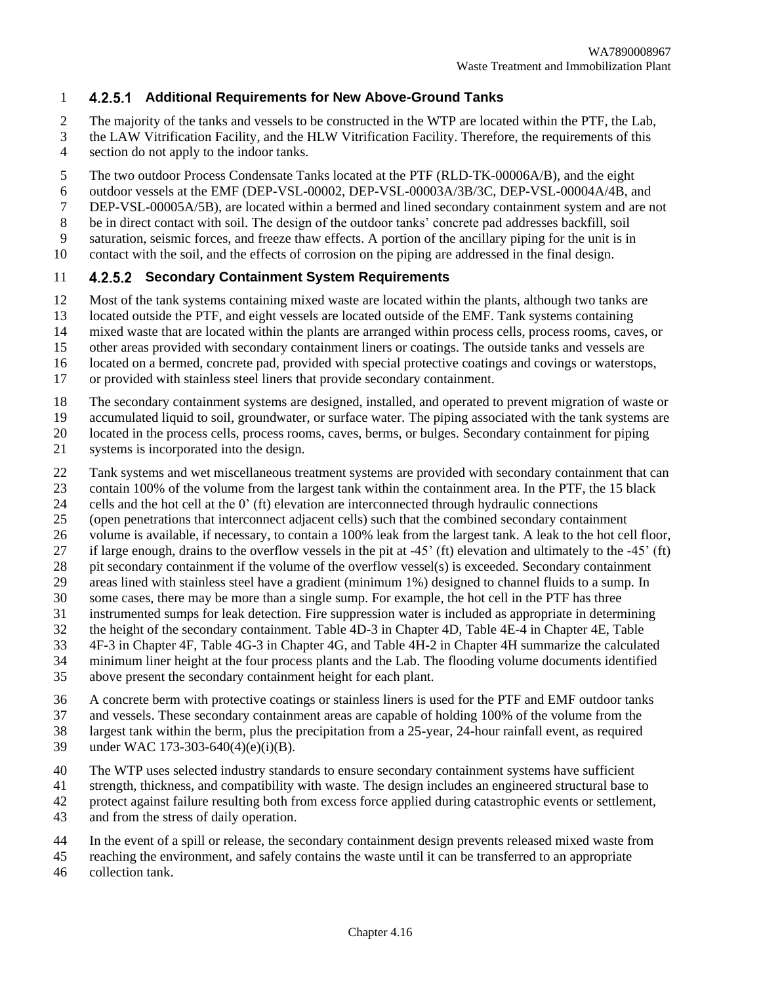#### **Additional Requirements for New Above-Ground Tanks**

The majority of the tanks and vessels to be constructed in the WTP are located within the PTF, the Lab,

- the LAW Vitrification Facility, and the HLW Vitrification Facility. Therefore, the requirements of this section do not apply to the indoor tanks.
- The two outdoor Process Condensate Tanks located at the PTF (RLD-TK-00006A/B), and the eight
- outdoor vessels at the EMF (DEP-VSL-00002, DEP-VSL-00003A/3B/3C, DEP-VSL-00004A/4B, and
- DEP-VSL-00005A/5B), are located within a bermed and lined secondary containment system and are not
- be in direct contact with soil. The design of the outdoor tanks' concrete pad addresses backfill, soil
- saturation, seismic forces, and freeze thaw effects. A portion of the ancillary piping for the unit is in
- contact with the soil, and the effects of corrosion on the piping are addressed in the final design.

### **Secondary Containment System Requirements**

- Most of the tank systems containing mixed waste are located within the plants, although two tanks are
- located outside the PTF, and eight vessels are located outside of the EMF. Tank systems containing
- mixed waste that are located within the plants are arranged within process cells, process rooms, caves, or

other areas provided with secondary containment liners or coatings. The outside tanks and vessels are

- located on a bermed, concrete pad, provided with special protective coatings and covings or waterstops,
- or provided with stainless steel liners that provide secondary containment.
- The secondary containment systems are designed, installed, and operated to prevent migration of waste or
- accumulated liquid to soil, groundwater, or surface water. The piping associated with the tank systems are
- located in the process cells, process rooms, caves, berms, or bulges. Secondary containment for piping
- systems is incorporated into the design.
- Tank systems and wet miscellaneous treatment systems are provided with secondary containment that can
- contain 100% of the volume from the largest tank within the containment area. In the PTF, the 15 black
- cells and the hot cell at the 0' (ft) elevation are interconnected through hydraulic connections
- (open penetrations that interconnect adjacent cells) such that the combined secondary containment
- volume is available, if necessary, to contain a 100% leak from the largest tank. A leak to the hot cell floor,
- 27 if large enough, drains to the overflow vessels in the pit at  $-45'$  (ft) elevation and ultimately to the  $-45'$  (ft)
- pit secondary containment if the volume of the overflow vessel(s) is exceeded. Secondary containment
- areas lined with stainless steel have a gradient (minimum 1%) designed to channel fluids to a sump. In
- some cases, there may be more than a single sump. For example, the hot cell in the PTF has three instrumented sumps for leak detection. Fire suppression water is included as appropriate in determining
- the height of the secondary containment. Table 4D-3 in Chapter 4D, Table 4E-4 in Chapter 4E, Table
- 4F-3 in Chapter 4F, Table 4G-3 in Chapter 4G, and Table 4H-2 in Chapter 4H summarize the calculated
- minimum liner height at the four process plants and the Lab. The flooding volume documents identified
- above present the secondary containment height for each plant.
- A concrete berm with protective coatings or stainless liners is used for the PTF and EMF outdoor tanks
- and vessels. These secondary containment areas are capable of holding 100% of the volume from the
- largest tank within the berm, plus the precipitation from a 25-year, 24-hour rainfall event, as required
- under WAC 173-303-640(4)(e)(i)(B).
- The WTP uses selected industry standards to ensure secondary containment systems have sufficient
- strength, thickness, and compatibility with waste. The design includes an engineered structural base to
- protect against failure resulting both from excess force applied during catastrophic events or settlement,
- and from the stress of daily operation.
- In the event of a spill or release, the secondary containment design prevents released mixed waste from
- reaching the environment, and safely contains the waste until it can be transferred to an appropriate
- collection tank.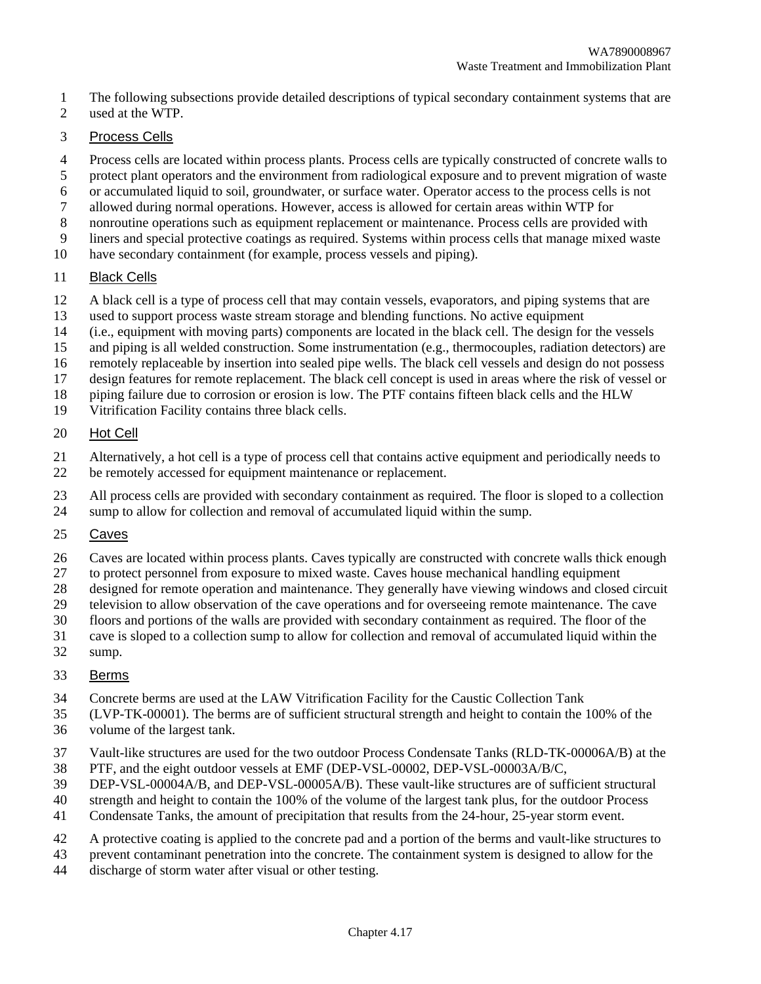- The following subsections provide detailed descriptions of typical secondary containment systems that are
- used at the WTP.
- Process Cells
- Process cells are located within process plants. Process cells are typically constructed of concrete walls to
- protect plant operators and the environment from radiological exposure and to prevent migration of waste
- or accumulated liquid to soil, groundwater, or surface water. Operator access to the process cells is not
- allowed during normal operations. However, access is allowed for certain areas within WTP for
- nonroutine operations such as equipment replacement or maintenance. Process cells are provided with
- liners and special protective coatings as required. Systems within process cells that manage mixed waste
- have secondary containment (for example, process vessels and piping).

#### Black Cells

- A black cell is a type of process cell that may contain vessels, evaporators, and piping systems that are
- used to support process waste stream storage and blending functions. No active equipment
- (i.e., equipment with moving parts) components are located in the black cell. The design for the vessels
- and piping is all welded construction. Some instrumentation (e.g., thermocouples, radiation detectors) are
- remotely replaceable by insertion into sealed pipe wells. The black cell vessels and design do not possess
- design features for remote replacement. The black cell concept is used in areas where the risk of vessel or
- piping failure due to corrosion or erosion is low. The PTF contains fifteen black cells and the HLW
- Vitrification Facility contains three black cells.

#### Hot Cell

- Alternatively, a hot cell is a type of process cell that contains active equipment and periodically needs to be remotely accessed for equipment maintenance or replacement.
- All process cells are provided with secondary containment as required. The floor is sloped to a collection
- sump to allow for collection and removal of accumulated liquid within the sump.

#### Caves

- Caves are located within process plants. Caves typically are constructed with concrete walls thick enough
- to protect personnel from exposure to mixed waste. Caves house mechanical handling equipment
- designed for remote operation and maintenance. They generally have viewing windows and closed circuit
- television to allow observation of the cave operations and for overseeing remote maintenance. The cave
- floors and portions of the walls are provided with secondary containment as required. The floor of the
- cave is sloped to a collection sump to allow for collection and removal of accumulated liquid within the
- sump.

#### Berms

- Concrete berms are used at the LAW Vitrification Facility for the Caustic Collection Tank
- (LVP-TK-00001). The berms are of sufficient structural strength and height to contain the 100% of the
- volume of the largest tank.
- Vault-like structures are used for the two outdoor Process Condensate Tanks (RLD-TK-00006A/B) at the
- PTF, and the eight outdoor vessels at EMF (DEP-VSL-00002, DEP-VSL-00003A/B/C,
- DEP-VSL-00004A/B, and DEP-VSL-00005A/B). These vault-like structures are of sufficient structural
- strength and height to contain the 100% of the volume of the largest tank plus, for the outdoor Process
- Condensate Tanks, the amount of precipitation that results from the 24-hour, 25-year storm event.
- A protective coating is applied to the concrete pad and a portion of the berms and vault-like structures to
- prevent contaminant penetration into the concrete. The containment system is designed to allow for the
- discharge of storm water after visual or other testing.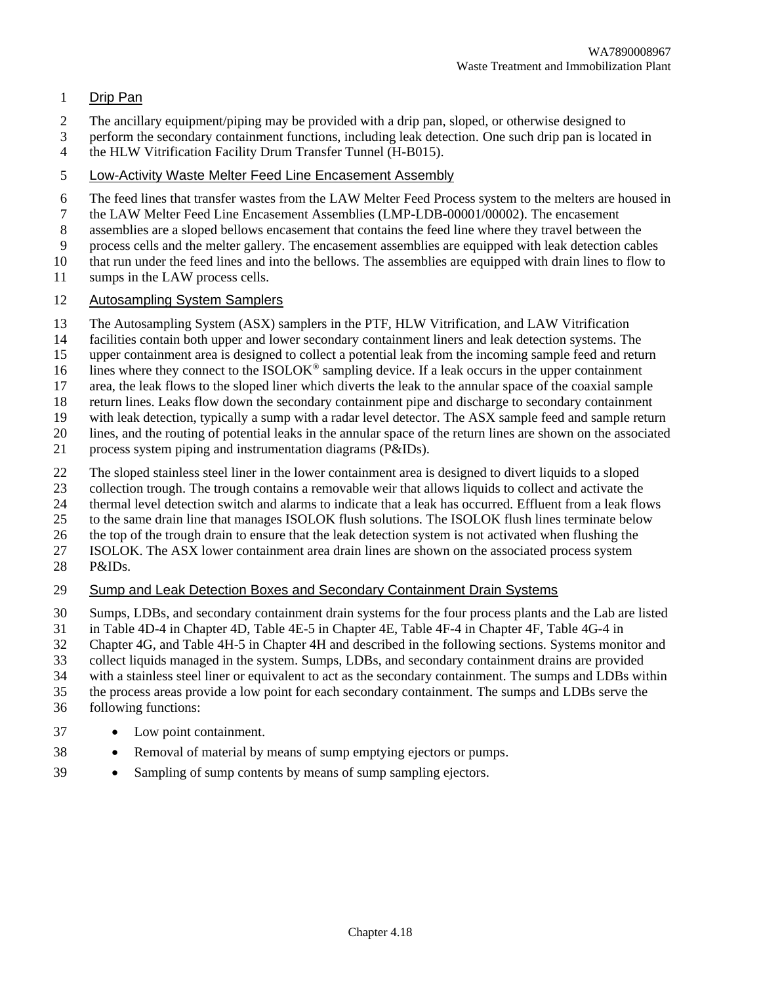#### Drip Pan

- The ancillary equipment/piping may be provided with a drip pan, sloped, or otherwise designed to
- perform the secondary containment functions, including leak detection. One such drip pan is located in
- the HLW Vitrification Facility Drum Transfer Tunnel (H-B015).

#### Low-Activity Waste Melter Feed Line Encasement Assembly

- The feed lines that transfer wastes from the LAW Melter Feed Process system to the melters are housed in
- the LAW Melter Feed Line Encasement Assemblies (LMP-LDB-00001/00002). The encasement

assemblies are a sloped bellows encasement that contains the feed line where they travel between the

- process cells and the melter gallery. The encasement assemblies are equipped with leak detection cables
- that run under the feed lines and into the bellows. The assemblies are equipped with drain lines to flow to
- sumps in the LAW process cells.

#### Autosampling System Samplers

- The Autosampling System (ASX) samplers in the PTF, HLW Vitrification, and LAW Vitrification
- facilities contain both upper and lower secondary containment liners and leak detection systems. The
- upper containment area is designed to collect a potential leak from the incoming sample feed and return
- 16 lines where they connect to the ISOLOK<sup>®</sup> sampling device. If a leak occurs in the upper containment
- area, the leak flows to the sloped liner which diverts the leak to the annular space of the coaxial sample
- return lines. Leaks flow down the secondary containment pipe and discharge to secondary containment
- with leak detection, typically a sump with a radar level detector. The ASX sample feed and sample return
- lines, and the routing of potential leaks in the annular space of the return lines are shown on the associated
- process system piping and instrumentation diagrams (P&IDs).
- The sloped stainless steel liner in the lower containment area is designed to divert liquids to a sloped
- collection trough. The trough contains a removable weir that allows liquids to collect and activate the
- thermal level detection switch and alarms to indicate that a leak has occurred. Effluent from a leak flows
- to the same drain line that manages ISOLOK flush solutions. The ISOLOK flush lines terminate below
- the top of the trough drain to ensure that the leak detection system is not activated when flushing the
- ISOLOK. The ASX lower containment area drain lines are shown on the associated process system
- P&IDs.

#### Sump and Leak Detection Boxes and Secondary Containment Drain Systems

- Sumps, LDBs, and secondary containment drain systems for the four process plants and the Lab are listed
- in Table 4D-4 in Chapter 4D, Table 4E-5 in Chapter 4E, Table 4F-4 in Chapter 4F, Table 4G-4 in
- Chapter 4G, and Table 4H-5 in Chapter 4H and described in the following sections. Systems monitor and
- collect liquids managed in the system. Sumps, LDBs, and secondary containment drains are provided
- with a stainless steel liner or equivalent to act as the secondary containment. The sumps and LDBs within
- the process areas provide a low point for each secondary containment. The sumps and LDBs serve the
- following functions:
- Low point containment.
- Removal of material by means of sump emptying ejectors or pumps.
- Sampling of sump contents by means of sump sampling ejectors.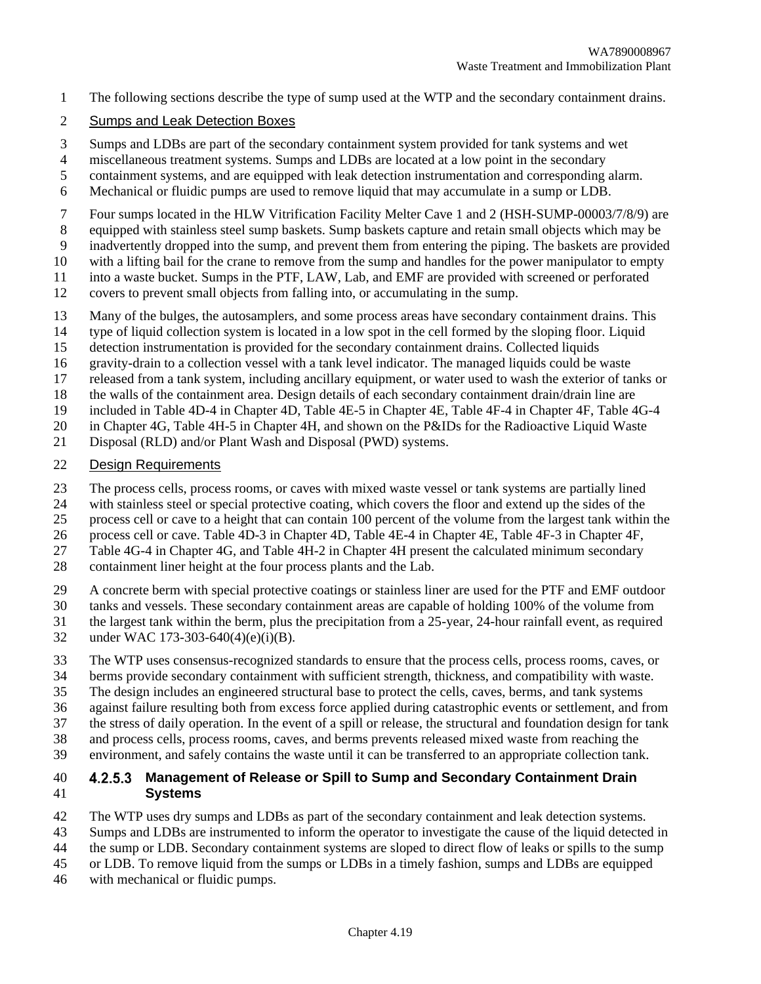The following sections describe the type of sump used at the WTP and the secondary containment drains.

#### Sumps and Leak Detection Boxes

- Sumps and LDBs are part of the secondary containment system provided for tank systems and wet
- miscellaneous treatment systems. Sumps and LDBs are located at a low point in the secondary
- containment systems, and are equipped with leak detection instrumentation and corresponding alarm.
- Mechanical or fluidic pumps are used to remove liquid that may accumulate in a sump or LDB.
- Four sumps located in the HLW Vitrification Facility Melter Cave 1 and 2 (HSH-SUMP-00003/7/8/9) are
- equipped with stainless steel sump baskets. Sump baskets capture and retain small objects which may be
- inadvertently dropped into the sump, and prevent them from entering the piping. The baskets are provided
- with a lifting bail for the crane to remove from the sump and handles for the power manipulator to empty
- 11 into a waste bucket. Sumps in the PTF, LAW, Lab, and EMF are provided with screened or perforated
- covers to prevent small objects from falling into, or accumulating in the sump.
- Many of the bulges, the autosamplers, and some process areas have secondary containment drains. This
- type of liquid collection system is located in a low spot in the cell formed by the sloping floor. Liquid
- detection instrumentation is provided for the secondary containment drains. Collected liquids
- gravity-drain to a collection vessel with a tank level indicator. The managed liquids could be waste
- released from a tank system, including ancillary equipment, or water used to wash the exterior of tanks or
- the walls of the containment area. Design details of each secondary containment drain/drain line are
- included in Table 4D-4 in Chapter 4D, Table 4E-5 in Chapter 4E, Table 4F-4 in Chapter 4F, Table 4G-4
- in Chapter 4G, Table 4H-5 in Chapter 4H, and shown on the P&IDs for the Radioactive Liquid Waste
- Disposal (RLD) and/or Plant Wash and Disposal (PWD) systems.

#### Design Requirements

- The process cells, process rooms, or caves with mixed waste vessel or tank systems are partially lined
- with stainless steel or special protective coating, which covers the floor and extend up the sides of the
- process cell or cave to a height that can contain 100 percent of the volume from the largest tank within the
- process cell or cave. Table 4D-3 in Chapter 4D, Table 4E-4 in Chapter 4E, Table 4F-3 in Chapter 4F,
- Table 4G-4 in Chapter 4G, and Table 4H-2 in Chapter 4H present the calculated minimum secondary
- containment liner height at the four process plants and the Lab.
- A concrete berm with special protective coatings or stainless liner are used for the PTF and EMF outdoor
- tanks and vessels. These secondary containment areas are capable of holding 100% of the volume from
- the largest tank within the berm, plus the precipitation from a 25-year, 24-hour rainfall event, as required
- under WAC 173-303-640(4)(e)(i)(B).
- The WTP uses consensus-recognized standards to ensure that the process cells, process rooms, caves, or
- berms provide secondary containment with sufficient strength, thickness, and compatibility with waste.
- The design includes an engineered structural base to protect the cells, caves, berms, and tank systems
- against failure resulting both from excess force applied during catastrophic events or settlement, and from
- the stress of daily operation. In the event of a spill or release, the structural and foundation design for tank
- and process cells, process rooms, caves, and berms prevents released mixed waste from reaching the
- environment, and safely contains the waste until it can be transferred to an appropriate collection tank.

#### **Management of Release or Spill to Sump and Secondary Containment Drain Systems**

- The WTP uses dry sumps and LDBs as part of the secondary containment and leak detection systems.
- Sumps and LDBs are instrumented to inform the operator to investigate the cause of the liquid detected in
- the sump or LDB. Secondary containment systems are sloped to direct flow of leaks or spills to the sump
- or LDB. To remove liquid from the sumps or LDBs in a timely fashion, sumps and LDBs are equipped
- with mechanical or fluidic pumps.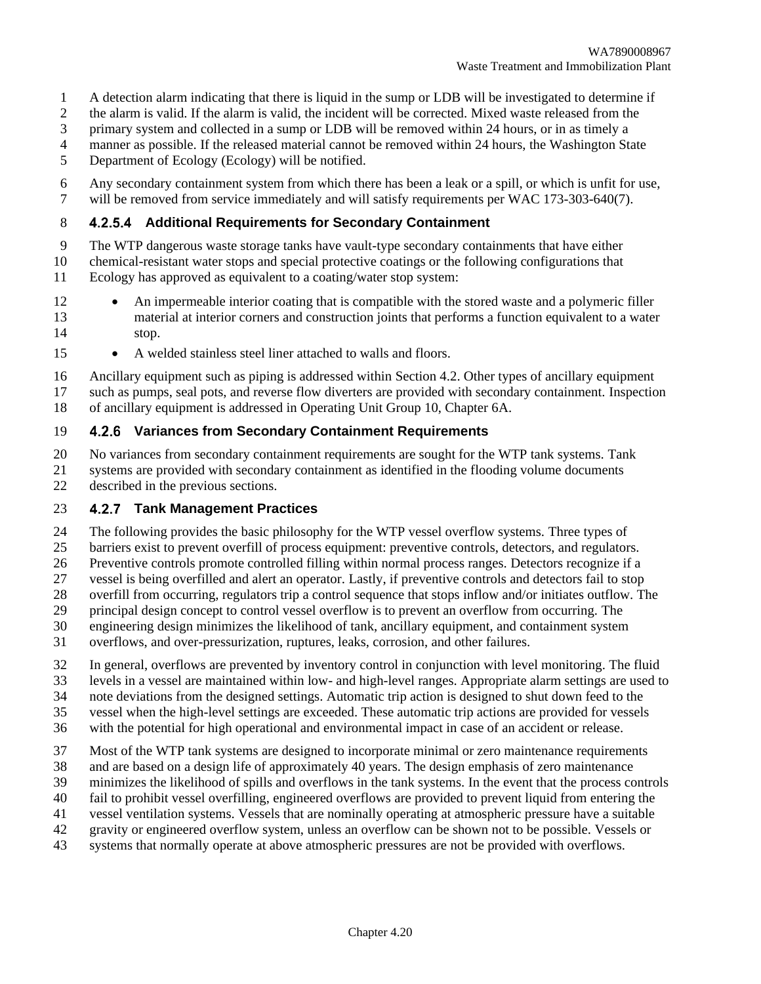- A detection alarm indicating that there is liquid in the sump or LDB will be investigated to determine if
- the alarm is valid. If the alarm is valid, the incident will be corrected. Mixed waste released from the
- primary system and collected in a sump or LDB will be removed within 24 hours, or in as timely a
- manner as possible. If the released material cannot be removed within 24 hours, the Washington State
- Department of Ecology (Ecology) will be notified.
- Any secondary containment system from which there has been a leak or a spill, or which is unfit for use, will be removed from service immediately and will satisfy requirements per WAC 173-303-640(7).

### **Additional Requirements for Secondary Containment**

The WTP dangerous waste storage tanks have vault-type secondary containments that have either

- chemical-resistant water stops and special protective coatings or the following configurations that
- Ecology has approved as equivalent to a coating/water stop system:
- 12 An impermeable interior coating that is compatible with the stored waste and a polymeric filler material at interior corners and construction joints that performs a function equivalent to a water stop.
- A welded stainless steel liner attached to walls and floors.
- Ancillary equipment such as piping is addressed within Section 4.2. Other types of ancillary equipment such as pumps, seal pots, and reverse flow diverters are provided with secondary containment. Inspection of ancillary equipment is addressed in Operating Unit Group 10, Chapter 6A.

### <span id="page-21-0"></span>**Variances from Secondary Containment Requirements**

- No variances from secondary containment requirements are sought for the WTP tank systems. Tank
- systems are provided with secondary containment as identified in the flooding volume documents described in the previous sections.

#### <span id="page-21-1"></span>**4.2.7 Tank Management Practices**

- The following provides the basic philosophy for the WTP vessel overflow systems. Three types of
- barriers exist to prevent overfill of process equipment: preventive controls, detectors, and regulators.
- Preventive controls promote controlled filling within normal process ranges. Detectors recognize if a
- vessel is being overfilled and alert an operator. Lastly, if preventive controls and detectors fail to stop
- overfill from occurring, regulators trip a control sequence that stops inflow and/or initiates outflow. The
- principal design concept to control vessel overflow is to prevent an overflow from occurring. The
- engineering design minimizes the likelihood of tank, ancillary equipment, and containment system
- overflows, and over-pressurization, ruptures, leaks, corrosion, and other failures.
- In general, overflows are prevented by inventory control in conjunction with level monitoring. The fluid
- levels in a vessel are maintained within low- and high-level ranges. Appropriate alarm settings are used to note deviations from the designed settings. Automatic trip action is designed to shut down feed to the
- vessel when the high-level settings are exceeded. These automatic trip actions are provided for vessels
- with the potential for high operational and environmental impact in case of an accident or release.
- Most of the WTP tank systems are designed to incorporate minimal or zero maintenance requirements
- and are based on a design life of approximately 40 years. The design emphasis of zero maintenance
- minimizes the likelihood of spills and overflows in the tank systems. In the event that the process controls
- fail to prohibit vessel overfilling, engineered overflows are provided to prevent liquid from entering the
- vessel ventilation systems. Vessels that are nominally operating at atmospheric pressure have a suitable
- gravity or engineered overflow system, unless an overflow can be shown not to be possible. Vessels or
- systems that normally operate at above atmospheric pressures are not be provided with overflows.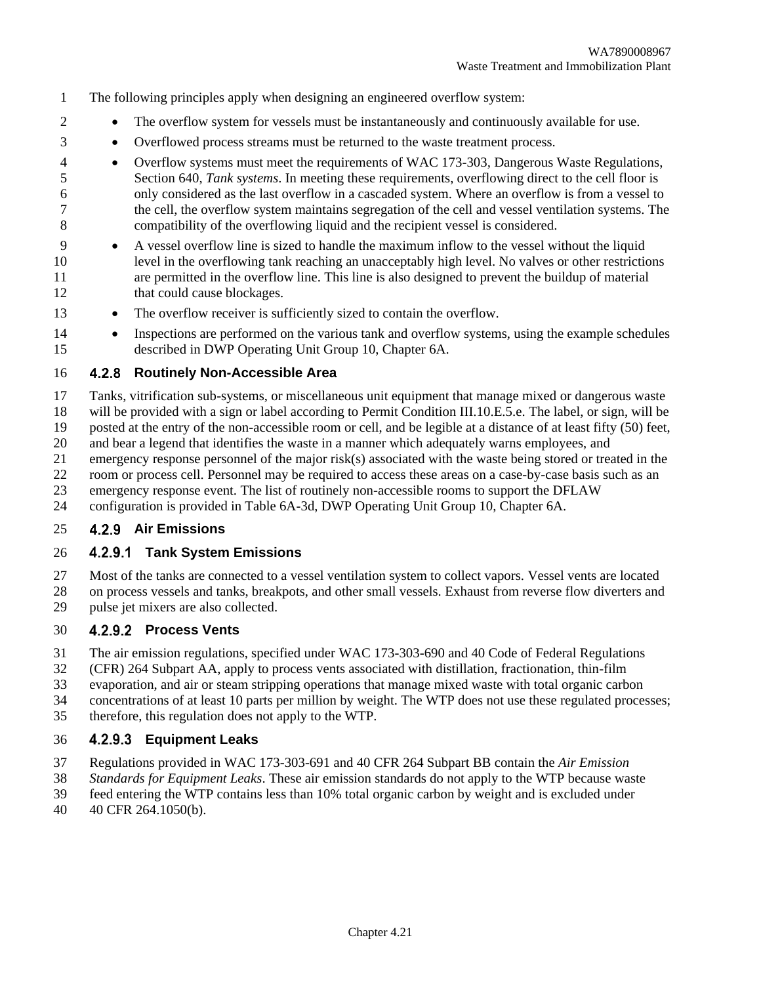- The following principles apply when designing an engineered overflow system:
- 2 The overflow system for vessels must be instantaneously and continuously available for use.
- Overflowed process streams must be returned to the waste treatment process.
- Overflow systems must meet the requirements of WAC 173-303*,* Dangerous Waste Regulations, Section 640, *Tank systems*. In meeting these requirements, overflowing direct to the cell floor is only considered as the last overflow in a cascaded system. Where an overflow is from a vessel to the cell, the overflow system maintains segregation of the cell and vessel ventilation systems. The compatibility of the overflowing liquid and the recipient vessel is considered.
- A vessel overflow line is sized to handle the maximum inflow to the vessel without the liquid level in the overflowing tank reaching an unacceptably high level. No valves or other restrictions are permitted in the overflow line. This line is also designed to prevent the buildup of material 12 that could cause blockages.
- 13 The overflow receiver is sufficiently sized to contain the overflow.
- Inspections are performed on the various tank and overflow systems, using the example schedules described in DWP Operating Unit Group 10, Chapter 6A.

#### <span id="page-22-0"></span>**4.2.8 Routinely Non-Accessible Area**

 Tanks, vitrification sub-systems, or miscellaneous unit equipment that manage mixed or dangerous waste will be provided with a sign or label according to Permit Condition III.10.E.5.e. The label, or sign, will be posted at the entry of the non-accessible room or cell, and be legible at a distance of at least fifty (50) feet, and bear a legend that identifies the waste in a manner which adequately warns employees, and emergency response personnel of the major risk(s) associated with the waste being stored or treated in the room or process cell. Personnel may be required to access these areas on a case-by-case basis such as an

 emergency response event. The list of routinely non-accessible rooms to support the DFLAW configuration is provided in Table 6A-3d, DWP Operating Unit Group 10, Chapter 6A.

### <span id="page-22-1"></span>**Air Emissions**

### **Tank System Emissions**

 Most of the tanks are connected to a vessel ventilation system to collect vapors. Vessel vents are located on process vessels and tanks, breakpots, and other small vessels. Exhaust from reverse flow diverters and pulse jet mixers are also collected.

### **Process Vents**

The air emission regulations, specified under WAC 173-303-690 and 40 Code of Federal Regulations

- (CFR) 264 Subpart AA, apply to process vents associated with distillation, fractionation, thin-film
- evaporation, and air or steam stripping operations that manage mixed waste with total organic carbon
- concentrations of at least 10 parts per million by weight. The WTP does not use these regulated processes;
- therefore, this regulation does not apply to the WTP.

#### **Equipment Leaks**

- Regulations provided in WAC 173-303-691 and 40 CFR 264 Subpart BB contain the *Air Emission*
- *Standards for Equipment Leaks*. These air emission standards do not apply to the WTP because waste
- feed entering the WTP contains less than 10% total organic carbon by weight and is excluded under
- 40 CFR 264.1050(b).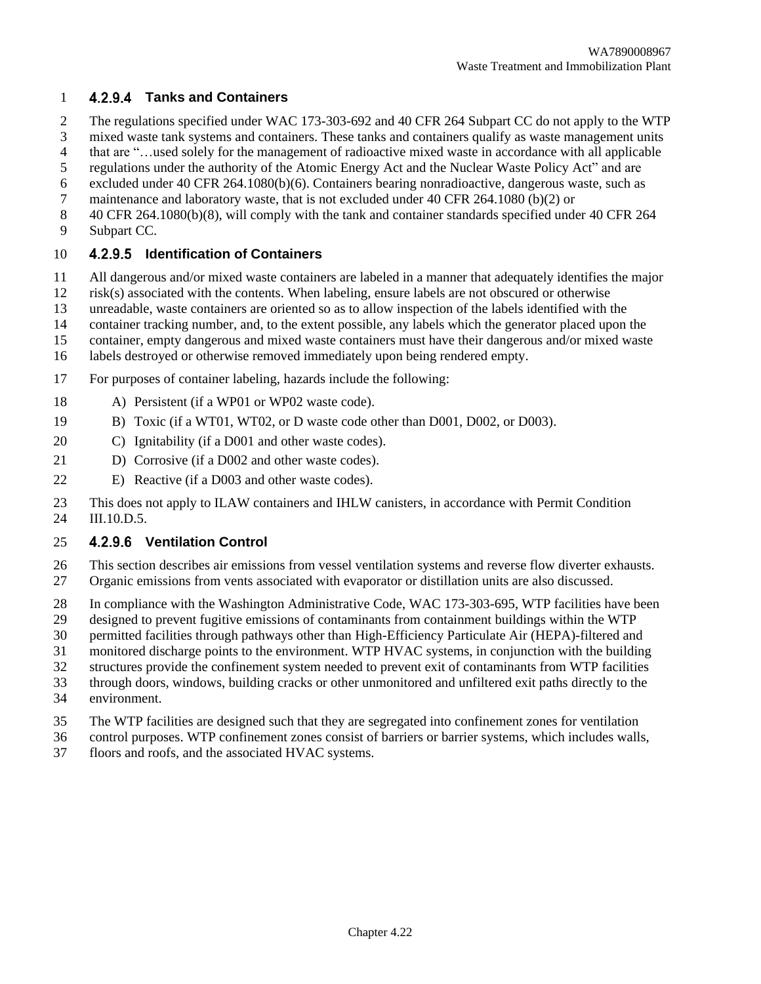### **Tanks and Containers**

- The regulations specified under WAC 173-303-692 and 40 CFR 264 Subpart CC do not apply to the WTP
- mixed waste tank systems and containers. These tanks and containers qualify as waste management units
- that are "…used solely for the management of radioactive mixed waste in accordance with all applicable
- regulations under the authority of the Atomic Energy Act and the Nuclear Waste Policy Act" and are
- excluded under 40 CFR 264.1080(b)(6). Containers bearing nonradioactive, dangerous waste, such as
- maintenance and laboratory waste, that is not excluded under 40 CFR 264.1080 (b)(2) or
- 40 CFR 264.1080(b)(8), will comply with the tank and container standards specified under 40 CFR 264
- Subpart CC.

### **4.2.9.5 Identification of Containers**

- All dangerous and/or mixed waste containers are labeled in a manner that adequately identifies the major
- risk(s) associated with the contents. When labeling, ensure labels are not obscured or otherwise
- unreadable, waste containers are oriented so as to allow inspection of the labels identified with the
- container tracking number, and, to the extent possible, any labels which the generator placed upon the
- container, empty dangerous and mixed waste containers must have their dangerous and/or mixed waste
- labels destroyed or otherwise removed immediately upon being rendered empty.
- For purposes of container labeling, hazards include the following:
- 18 A) Persistent (if a WP01 or WP02 waste code).
- B) Toxic (if a WT01, WT02, or D waste code other than D001, D002, or D003).
- C) Ignitability (if a D001 and other waste codes).
- D) Corrosive (if a D002 and other waste codes).
- E) Reactive (if a D003 and other waste codes).
- This does not apply to ILAW containers and IHLW canisters, in accordance with Permit Condition III.10.D.5.

#### **Ventilation Control**

- This section describes air emissions from vessel ventilation systems and reverse flow diverter exhausts.
- Organic emissions from vents associated with evaporator or distillation units are also discussed.
- In compliance with the Washington Administrative Code, WAC 173-303-695, WTP facilities have been
- designed to prevent fugitive emissions of contaminants from containment buildings within the WTP
- permitted facilities through pathways other than High-Efficiency Particulate Air (HEPA)-filtered and
- monitored discharge points to the environment. WTP HVAC systems, in conjunction with the building
- structures provide the confinement system needed to prevent exit of contaminants from WTP facilities
- through doors, windows, building cracks or other unmonitored and unfiltered exit paths directly to the
- environment.
- The WTP facilities are designed such that they are segregated into confinement zones for ventilation
- control purposes. WTP confinement zones consist of barriers or barrier systems, which includes walls,
- floors and roofs, and the associated HVAC systems.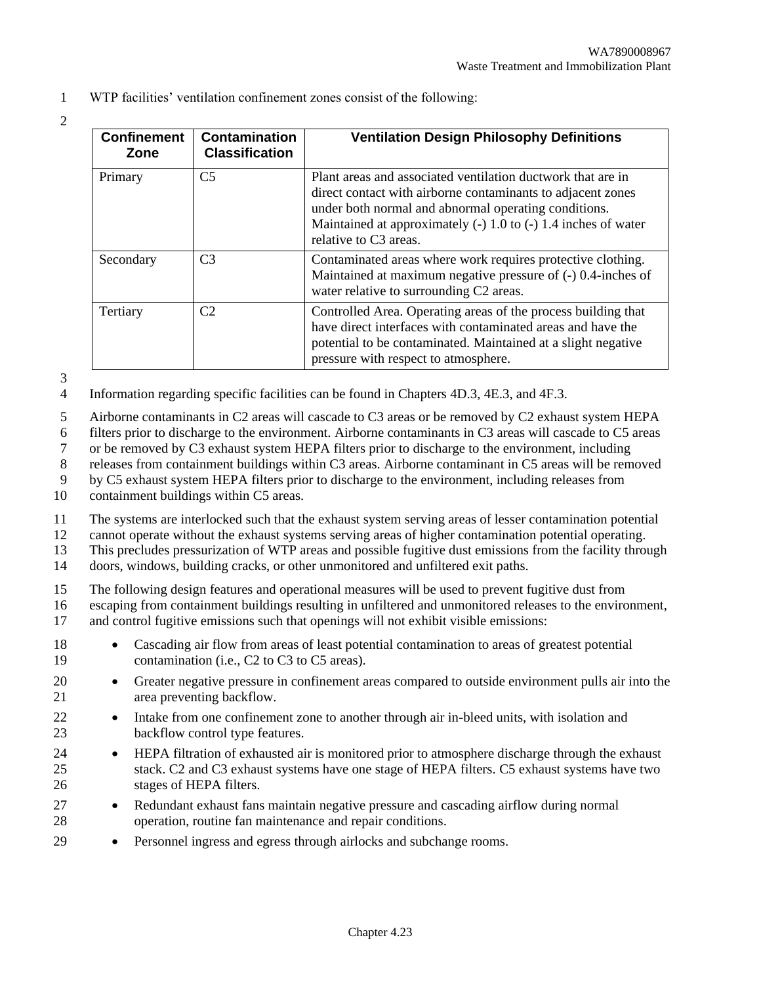- 1 WTP facilities' ventilation confinement zones consist of the following:
- 2

| <b>Confinement</b><br>Zone | <b>Contamination</b><br><b>Classification</b> | <b>Ventilation Design Philosophy Definitions</b>                                                                                                                                                                                                                                              |
|----------------------------|-----------------------------------------------|-----------------------------------------------------------------------------------------------------------------------------------------------------------------------------------------------------------------------------------------------------------------------------------------------|
| Primary                    | C5                                            | Plant areas and associated ventilation ductwork that are in<br>direct contact with airborne contaminants to adjacent zones<br>under both normal and abnormal operating conditions.<br>Maintained at approximately $(-)$ 1.0 to $(-)$ 1.4 inches of water<br>relative to C <sub>3</sub> areas. |
| Secondary                  | C <sub>3</sub>                                | Contaminated areas where work requires protective clothing.<br>Maintained at maximum negative pressure of (-) 0.4-inches of<br>water relative to surrounding C2 areas.                                                                                                                        |
| Tertiary                   | C <sub>2</sub>                                | Controlled Area. Operating areas of the process building that<br>have direct interfaces with contaminated areas and have the<br>potential to be contaminated. Maintained at a slight negative<br>pressure with respect to atmosphere.                                                         |

3

4 Information regarding specific facilities can be found in Chapters 4D.3, 4E.3, and 4F.3.

5 Airborne contaminants in C2 areas will cascade to C3 areas or be removed by C2 exhaust system HEPA

6 filters prior to discharge to the environment. Airborne contaminants in C3 areas will cascade to C5 areas

7 or be removed by C3 exhaust system HEPA filters prior to discharge to the environment, including

8 releases from containment buildings within C3 areas. Airborne contaminant in C5 areas will be removed

9 by C5 exhaust system HEPA filters prior to discharge to the environment, including releases from

10 containment buildings within C5 areas.

11 The systems are interlocked such that the exhaust system serving areas of lesser contamination potential

12 cannot operate without the exhaust systems serving areas of higher contamination potential operating.

13 This precludes pressurization of WTP areas and possible fugitive dust emissions from the facility through

14 doors, windows, building cracks, or other unmonitored and unfiltered exit paths.

15 The following design features and operational measures will be used to prevent fugitive dust from 16 escaping from containment buildings resulting in unfiltered and unmonitored releases to the environment, 17 and control fugitive emissions such that openings will not exhibit visible emissions:

- 18 Cascading air flow from areas of least potential contamination to areas of greatest potential 19 contamination (i.e., C2 to C3 to C5 areas).
- 20 Greater negative pressure in confinement areas compared to outside environment pulls air into the 21 area preventing backflow.
- 22 Intake from one confinement zone to another through air in-bleed units, with isolation and 23 backflow control type features.
- 24 HEPA filtration of exhausted air is monitored prior to atmosphere discharge through the exhaust 25 stack. C2 and C3 exhaust systems have one stage of HEPA filters. C5 exhaust systems have two 26 stages of HEPA filters.
- 27 Redundant exhaust fans maintain negative pressure and cascading airflow during normal 28 operation, routine fan maintenance and repair conditions.
- 29 Personnel ingress and egress through airlocks and subchange rooms.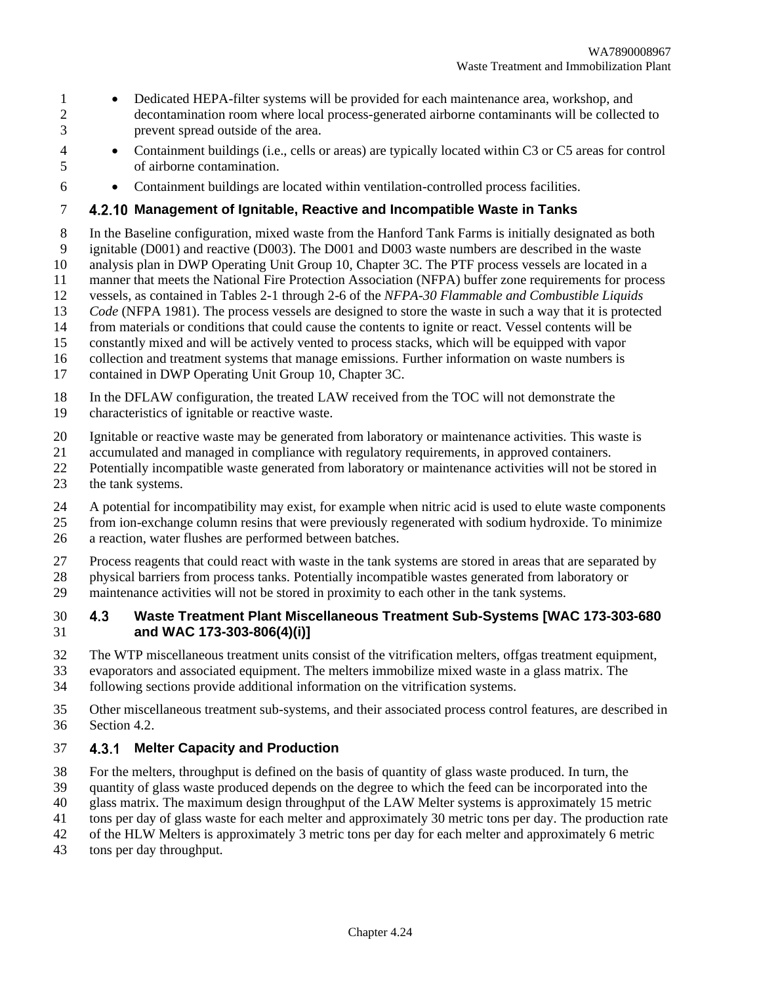- Dedicated HEPA-filter systems will be provided for each maintenance area, workshop, and decontamination room where local process-generated airborne contaminants will be collected to prevent spread outside of the area.
- Containment buildings (i.e., cells or areas) are typically located within C3 or C5 areas for control of airborne contamination.

• Containment buildings are located within ventilation-controlled process facilities.

# <span id="page-25-0"></span>**Management of Ignitable, Reactive and Incompatible Waste in Tanks**

 In the Baseline configuration, mixed waste from the Hanford Tank Farms is initially designated as both ignitable (D001) and reactive (D003). The D001 and D003 waste numbers are described in the waste analysis plan in DWP Operating Unit Group 10, Chapter 3C. The PTF process vessels are located in a manner that meets the National Fire Protection Association (NFPA) buffer zone requirements for process vessels, as contained in Tables 2-1 through 2-6 of the *NFPA-30 Flammable and Combustible Liquids Code* (NFPA 1981). The process vessels are designed to store the waste in such a way that it is protected from materials or conditions that could cause the contents to ignite or react. Vessel contents will be constantly mixed and will be actively vented to process stacks, which will be equipped with vapor

collection and treatment systems that manage emissions. Further information on waste numbers is

- contained in DWP Operating Unit Group 10, Chapter 3C.
- In the DFLAW configuration, the treated LAW received from the TOC will not demonstrate the characteristics of ignitable or reactive waste.
- Ignitable or reactive waste may be generated from laboratory or maintenance activities. This waste is
- accumulated and managed in compliance with regulatory requirements, in approved containers.
- Potentially incompatible waste generated from laboratory or maintenance activities will not be stored in the tank systems.
- A potential for incompatibility may exist, for example when nitric acid is used to elute waste components
- from ion-exchange column resins that were previously regenerated with sodium hydroxide. To minimize
- a reaction, water flushes are performed between batches.
- Process reagents that could react with waste in the tank systems are stored in areas that are separated by
- physical barriers from process tanks. Potentially incompatible wastes generated from laboratory or
- maintenance activities will not be stored in proximity to each other in the tank systems.

#### <span id="page-25-1"></span> **Waste Treatment Plant Miscellaneous Treatment Sub-Systems [WAC 173-303-680 and WAC 173-303-806(4)(i)]**

- The WTP miscellaneous treatment units consist of the vitrification melters, offgas treatment equipment,
- evaporators and associated equipment. The melters immobilize mixed waste in a glass matrix. The
- following sections provide additional information on the vitrification systems.
- Other miscellaneous treatment sub-systems, and their associated process control features, are described in Section 4.2.

#### <span id="page-25-2"></span>**Melter Capacity and Production**

- For the melters, throughput is defined on the basis of quantity of glass waste produced. In turn, the
- quantity of glass waste produced depends on the degree to which the feed can be incorporated into the
- glass matrix. The maximum design throughput of the LAW Melter systems is approximately 15 metric
- tons per day of glass waste for each melter and approximately 30 metric tons per day. The production rate
- of the HLW Melters is approximately 3 metric tons per day for each melter and approximately 6 metric
- tons per day throughput.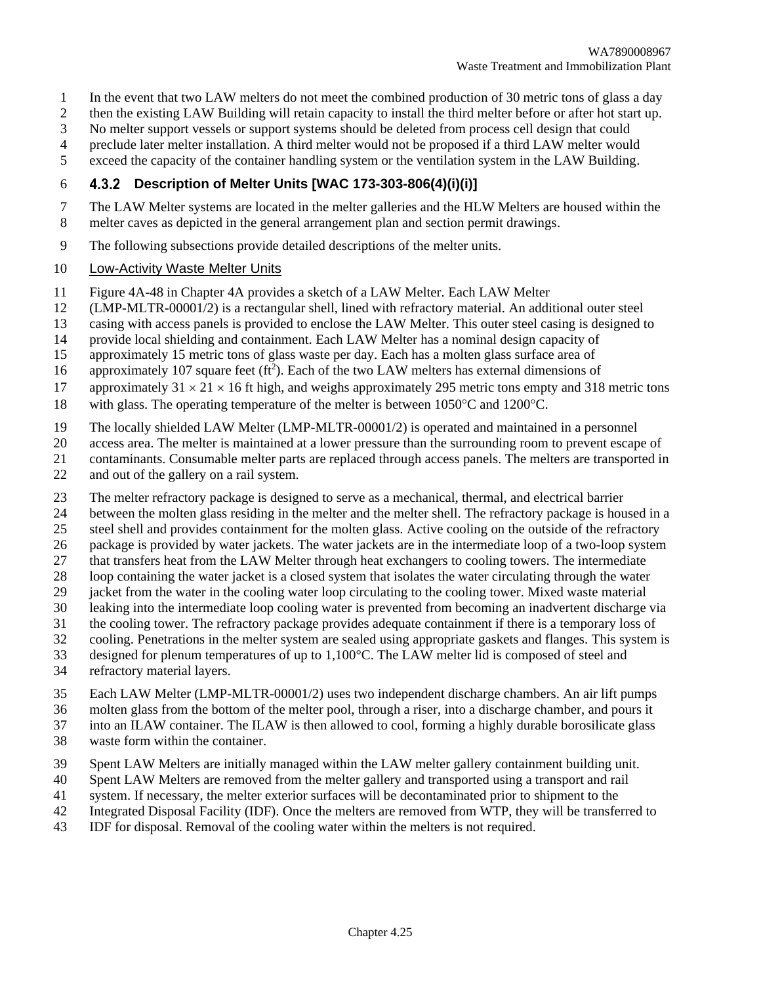- In the event that two LAW melters do not meet the combined production of 30 metric tons of glass a day
- then the existing LAW Building will retain capacity to install the third melter before or after hot start up.
- No melter support vessels or support systems should be deleted from process cell design that could
- preclude later melter installation. A third melter would not be proposed if a third LAW melter would
- exceed the capacity of the container handling system or the ventilation system in the LAW Building.

### <span id="page-26-0"></span>**Description of Melter Units [WAC 173-303-806(4)(i)(i)]**

- The LAW Melter systems are located in the melter galleries and the HLW Melters are housed within the melter caves as depicted in the general arrangement plan and section permit drawings.
- The following subsections provide detailed descriptions of the melter units.

#### Low-Activity Waste Melter Units

- Figure 4A-48 in Chapter 4A provides a sketch of a LAW Melter. Each LAW Melter
- (LMP-MLTR-00001/2) is a rectangular shell, lined with refractory material. An additional outer steel
- casing with access panels is provided to enclose the LAW Melter. This outer steel casing is designed to
- provide local shielding and containment. Each LAW Melter has a nominal design capacity of
- approximately 15 metric tons of glass waste per day. Each has a molten glass surface area of
- 16 approximately 107 square feet  $(f_t^2)$ . Each of the two LAW melters has external dimensions of
- 17 approximately  $31 \times 21 \times 16$  ft high, and weighs approximately 295 metric tons empty and 318 metric tons
- 18 with glass. The operating temperature of the melter is between  $1050^{\circ}$ C and  $1200^{\circ}$ C.
- The locally shielded LAW Melter (LMP-MLTR-00001/2) is operated and maintained in a personnel
- access area. The melter is maintained at a lower pressure than the surrounding room to prevent escape of
- contaminants. Consumable melter parts are replaced through access panels. The melters are transported in
- and out of the gallery on a rail system.
- The melter refractory package is designed to serve as a mechanical, thermal, and electrical barrier
- between the molten glass residing in the melter and the melter shell. The refractory package is housed in a
- steel shell and provides containment for the molten glass. Active cooling on the outside of the refractory
- package is provided by water jackets. The water jackets are in the intermediate loop of a two-loop system
- that transfers heat from the LAW Melter through heat exchangers to cooling towers. The intermediate loop containing the water jacket is a closed system that isolates the water circulating through the water
- jacket from the water in the cooling water loop circulating to the cooling tower. Mixed waste material
- leaking into the intermediate loop cooling water is prevented from becoming an inadvertent discharge via
- the cooling tower. The refractory package provides adequate containment if there is a temporary loss of
- cooling. Penetrations in the melter system are sealed using appropriate gaskets and flanges. This system is
- designed for plenum temperatures of up to 1,100°C. The LAW melter lid is composed of steel and
- refractory material layers.
- Each LAW Melter (LMP-MLTR-00001/2) uses two independent discharge chambers. An air lift pumps
- molten glass from the bottom of the melter pool, through a riser, into a discharge chamber, and pours it
- into an ILAW container. The ILAW is then allowed to cool, forming a highly durable borosilicate glass
- waste form within the container.
- Spent LAW Melters are initially managed within the LAW melter gallery containment building unit.
- Spent LAW Melters are removed from the melter gallery and transported using a transport and rail
- system. If necessary, the melter exterior surfaces will be decontaminated prior to shipment to the
- Integrated Disposal Facility (IDF). Once the melters are removed from WTP, they will be transferred to
- IDF for disposal. Removal of the cooling water within the melters is not required.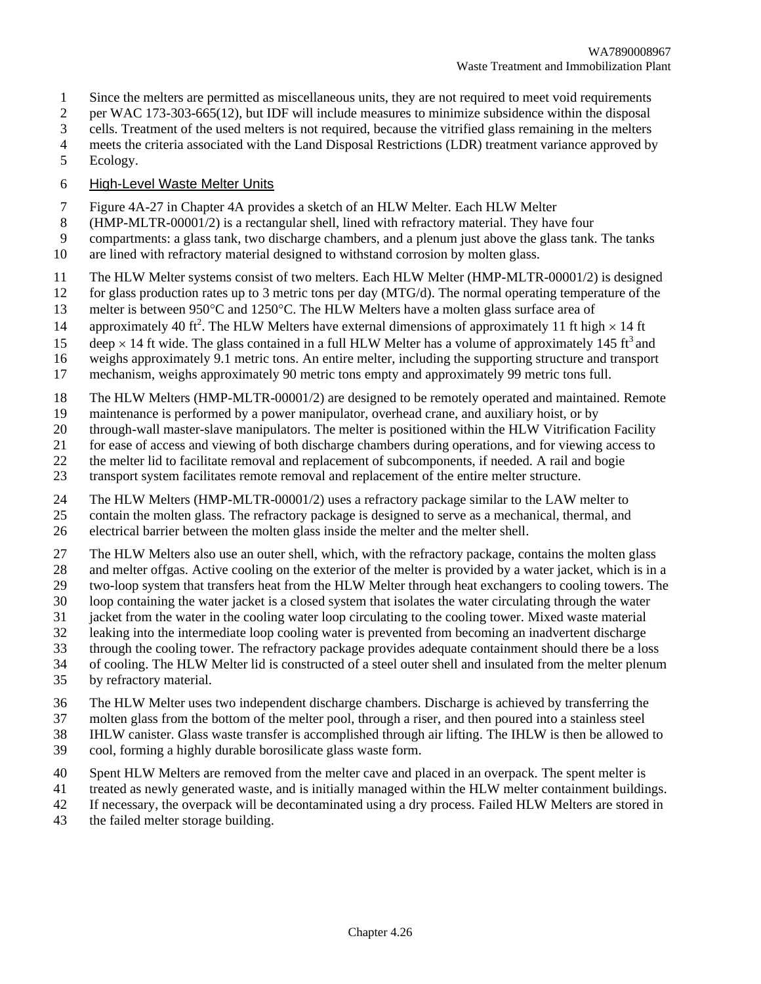- Since the melters are permitted as miscellaneous units, they are not required to meet void requirements
- per WAC 173-303-665(12), but IDF will include measures to minimize subsidence within the disposal
- cells. Treatment of the used melters is not required, because the vitrified glass remaining in the melters
- meets the criteria associated with the Land Disposal Restrictions (LDR) treatment variance approved by
- Ecology.
- High-Level Waste Melter Units
- Figure 4A-27 in Chapter 4A provides a sketch of an HLW Melter. Each HLW Melter
- (HMP-MLTR-00001/2) is a rectangular shell, lined with refractory material. They have four
- compartments: a glass tank, two discharge chambers, and a plenum just above the glass tank. The tanks
- are lined with refractory material designed to withstand corrosion by molten glass.
- The HLW Melter systems consist of two melters. Each HLW Melter (HMP-MLTR-00001/2) is designed
- for glass production rates up to 3 metric tons per day (MTG/d). The normal operating temperature of the
- 13 melter is between  $950^{\circ}$ C and  $1250^{\circ}$ C. The HLW Melters have a molten glass surface area of
- 14 approximately 40 ft<sup>2</sup>. The HLW Melters have external dimensions of approximately 11 ft high  $\times$  14 ft
- 15 deep  $\times$  14 ft wide. The glass contained in a full HLW Melter has a volume of approximately 145 ft<sup>3</sup> and
- weighs approximately 9.1 metric tons. An entire melter, including the supporting structure and transport
- mechanism, weighs approximately 90 metric tons empty and approximately 99 metric tons full.
- The HLW Melters (HMP-MLTR-00001/2) are designed to be remotely operated and maintained. Remote
- maintenance is performed by a power manipulator, overhead crane, and auxiliary hoist, or by
- through-wall master-slave manipulators. The melter is positioned within the HLW Vitrification Facility
- for ease of access and viewing of both discharge chambers during operations, and for viewing access to
- the melter lid to facilitate removal and replacement of subcomponents, if needed. A rail and bogie
- transport system facilitates remote removal and replacement of the entire melter structure.
- The HLW Melters (HMP-MLTR-00001/2) uses a refractory package similar to the LAW melter to
- contain the molten glass. The refractory package is designed to serve as a mechanical, thermal, and
- electrical barrier between the molten glass inside the melter and the melter shell.
- The HLW Melters also use an outer shell, which, with the refractory package, contains the molten glass
- and melter offgas. Active cooling on the exterior of the melter is provided by a water jacket, which is in a
- two-loop system that transfers heat from the HLW Melter through heat exchangers to cooling towers. The
- loop containing the water jacket is a closed system that isolates the water circulating through the water
- jacket from the water in the cooling water loop circulating to the cooling tower. Mixed waste material
- leaking into the intermediate loop cooling water is prevented from becoming an inadvertent discharge
- through the cooling tower. The refractory package provides adequate containment should there be a loss
- of cooling. The HLW Melter lid is constructed of a steel outer shell and insulated from the melter plenum
- by refractory material.
- The HLW Melter uses two independent discharge chambers. Discharge is achieved by transferring the
- molten glass from the bottom of the melter pool, through a riser, and then poured into a stainless steel
- IHLW canister. Glass waste transfer is accomplished through air lifting. The IHLW is then be allowed to
- cool, forming a highly durable borosilicate glass waste form.
- Spent HLW Melters are removed from the melter cave and placed in an overpack. The spent melter is
- treated as newly generated waste, and is initially managed within the HLW melter containment buildings.
- If necessary, the overpack will be decontaminated using a dry process. Failed HLW Melters are stored in
- the failed melter storage building.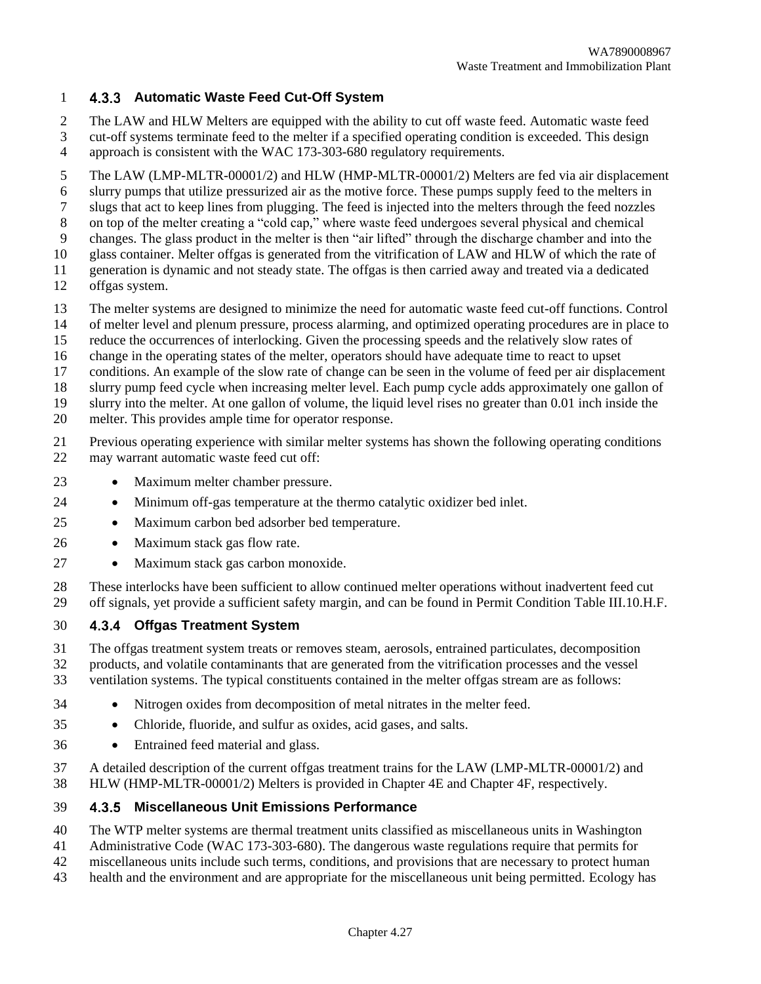#### <span id="page-28-0"></span>**Automatic Waste Feed Cut-Off System**

The LAW and HLW Melters are equipped with the ability to cut off waste feed. Automatic waste feed

- cut-off systems terminate feed to the melter if a specified operating condition is exceeded. This design
- approach is consistent with the WAC 173-303-680 regulatory requirements.
- The LAW (LMP-MLTR-00001/2) and HLW (HMP-MLTR-00001/2) Melters are fed via air displacement
- slurry pumps that utilize pressurized air as the motive force. These pumps supply feed to the melters in
- slugs that act to keep lines from plugging. The feed is injected into the melters through the feed nozzles
- on top of the melter creating a "cold cap," where waste feed undergoes several physical and chemical
- changes. The glass product in the melter is then "air lifted" through the discharge chamber and into the glass container. Melter offgas is generated from the vitrification of LAW and HLW of which the rate of
- generation is dynamic and not steady state. The offgas is then carried away and treated via a dedicated
- 
- offgas system.
- The melter systems are designed to minimize the need for automatic waste feed cut-off functions. Control
- of melter level and plenum pressure, process alarming, and optimized operating procedures are in place to
- reduce the occurrences of interlocking. Given the processing speeds and the relatively slow rates of
- change in the operating states of the melter, operators should have adequate time to react to upset
- conditions. An example of the slow rate of change can be seen in the volume of feed per air displacement
- slurry pump feed cycle when increasing melter level. Each pump cycle adds approximately one gallon of
- slurry into the melter. At one gallon of volume, the liquid level rises no greater than 0.01 inch inside the
- melter. This provides ample time for operator response.
- Previous operating experience with similar melter systems has shown the following operating conditions may warrant automatic waste feed cut off:
- Maximum melter chamber pressure.
- 24 Minimum off-gas temperature at the thermo catalytic oxidizer bed inlet.
- Maximum carbon bed adsorber bed temperature.
- 26 Maximum stack gas flow rate.
- Maximum stack gas carbon monoxide.
- These interlocks have been sufficient to allow continued melter operations without inadvertent feed cut off signals, yet provide a sufficient safety margin, and can be found in Permit Condition Table III.10.H.F.

#### <span id="page-28-1"></span>**Offgas Treatment System**

- The offgas treatment system treats or removes steam, aerosols, entrained particulates, decomposition products, and volatile contaminants that are generated from the vitrification processes and the vessel ventilation systems. The typical constituents contained in the melter offgas stream are as follows:
- Nitrogen oxides from decomposition of metal nitrates in the melter feed.
- Chloride, fluoride, and sulfur as oxides, acid gases, and salts.
- Entrained feed material and glass.
- A detailed description of the current offgas treatment trains for the LAW (LMP-MLTR-00001/2) and HLW (HMP-MLTR-00001/2) Melters is provided in Chapter 4E and Chapter 4F, respectively.

#### <span id="page-28-2"></span>**Miscellaneous Unit Emissions Performance**

- The WTP melter systems are thermal treatment units classified as miscellaneous units in Washington
- Administrative Code (WAC 173-303-680). The dangerous waste regulations require that permits for
- miscellaneous units include such terms, conditions, and provisions that are necessary to protect human
- health and the environment and are appropriate for the miscellaneous unit being permitted. Ecology has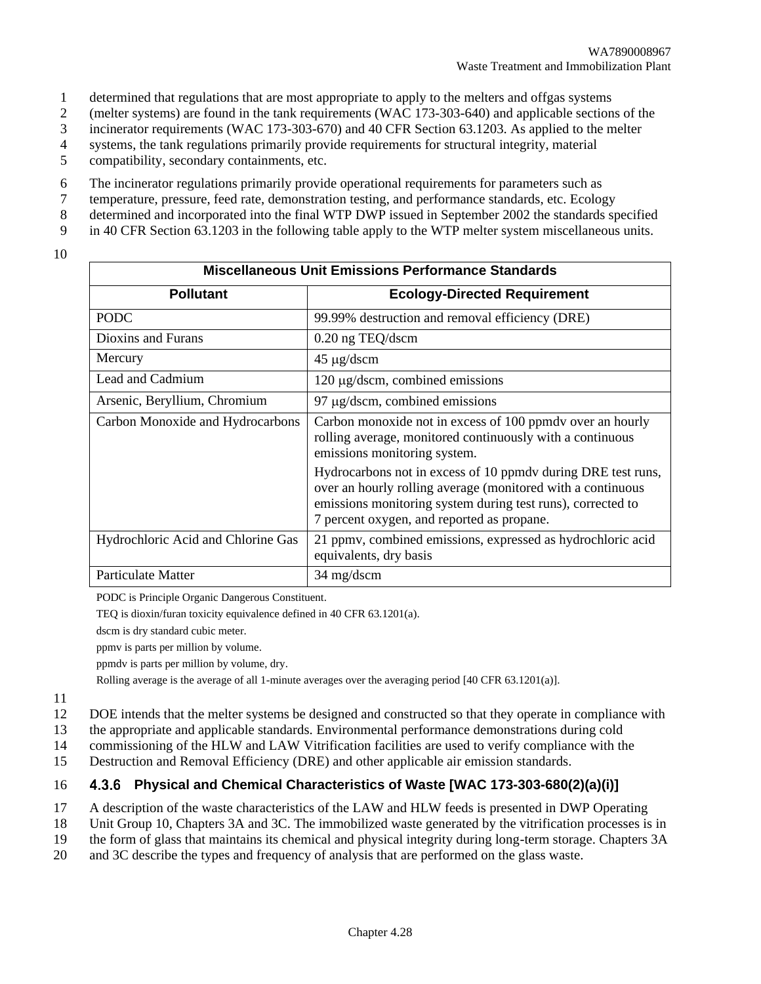- 1 determined that regulations that are most appropriate to apply to the melters and offgas systems
- 2 (melter systems) are found in the tank requirements (WAC 173-303-640) and applicable sections of the
- 3 incinerator requirements (WAC 173-303-670) and 40 CFR Section 63.1203. As applied to the melter
- 4 systems, the tank regulations primarily provide requirements for structural integrity, material
- 5 compatibility, secondary containments, etc.
- 6 The incinerator regulations primarily provide operational requirements for parameters such as
- 7 temperature, pressure, feed rate, demonstration testing, and performance standards, etc. Ecology
- 8 determined and incorporated into the final WTP DWP issued in September 2002 the standards specified
- 9 in 40 CFR Section 63.1203 in the following table apply to the WTP melter system miscellaneous units.
- 10

| <b>Miscellaneous Unit Emissions Performance Standards</b> |                                                                                                                                                                                                                                          |  |
|-----------------------------------------------------------|------------------------------------------------------------------------------------------------------------------------------------------------------------------------------------------------------------------------------------------|--|
| <b>Pollutant</b>                                          | <b>Ecology-Directed Requirement</b>                                                                                                                                                                                                      |  |
| <b>PODC</b>                                               | 99.99% destruction and removal efficiency (DRE)                                                                                                                                                                                          |  |
| Dioxins and Furans                                        | 0.20 ng TEQ/dscm                                                                                                                                                                                                                         |  |
| Mercury                                                   | $45 \mu g/ds$ cm                                                                                                                                                                                                                         |  |
| Lead and Cadmium                                          | $120 \mu$ g/dscm, combined emissions                                                                                                                                                                                                     |  |
| Arsenic, Beryllium, Chromium                              | 97 $\mu$ g/dscm, combined emissions                                                                                                                                                                                                      |  |
| Carbon Monoxide and Hydrocarbons                          | Carbon monoxide not in excess of 100 ppmdy over an hourly<br>rolling average, monitored continuously with a continuous<br>emissions monitoring system.                                                                                   |  |
|                                                           | Hydrocarbons not in excess of 10 ppmdy during DRE test runs,<br>over an hourly rolling average (monitored with a continuous<br>emissions monitoring system during test runs), corrected to<br>7 percent oxygen, and reported as propane. |  |
| Hydrochloric Acid and Chlorine Gas                        | 21 ppmv, combined emissions, expressed as hydrochloric acid<br>equivalents, dry basis                                                                                                                                                    |  |
| <b>Particulate Matter</b>                                 | 34 mg/dscm                                                                                                                                                                                                                               |  |

PODC is Principle Organic Dangerous Constituent.

TEQ is dioxin/furan toxicity equivalence defined in 40 CFR 63.1201(a).

dscm is dry standard cubic meter.

ppmv is parts per million by volume.

ppmdv is parts per million by volume, dry.

Rolling average is the average of all 1-minute averages over the averaging period [40 CFR 63.1201(a)].

- 11
- 12 DOE intends that the melter systems be designed and constructed so that they operate in compliance with
- 13 the appropriate and applicable standards. Environmental performance demonstrations during cold
- 14 commissioning of the HLW and LAW Vitrification facilities are used to verify compliance with the
- 15 Destruction and Removal Efficiency (DRE) and other applicable air emission standards.

### <span id="page-29-0"></span>16 **Physical and Chemical Characteristics of Waste [WAC 173-303-680(2)(a)(i)]**

- 17 A description of the waste characteristics of the LAW and HLW feeds is presented in DWP Operating
- 18 Unit Group 10, Chapters 3A and 3C. The immobilized waste generated by the vitrification processes is in
- 19 the form of glass that maintains its chemical and physical integrity during long-term storage. Chapters 3A
- 20 and 3C describe the types and frequency of analysis that are performed on the glass waste.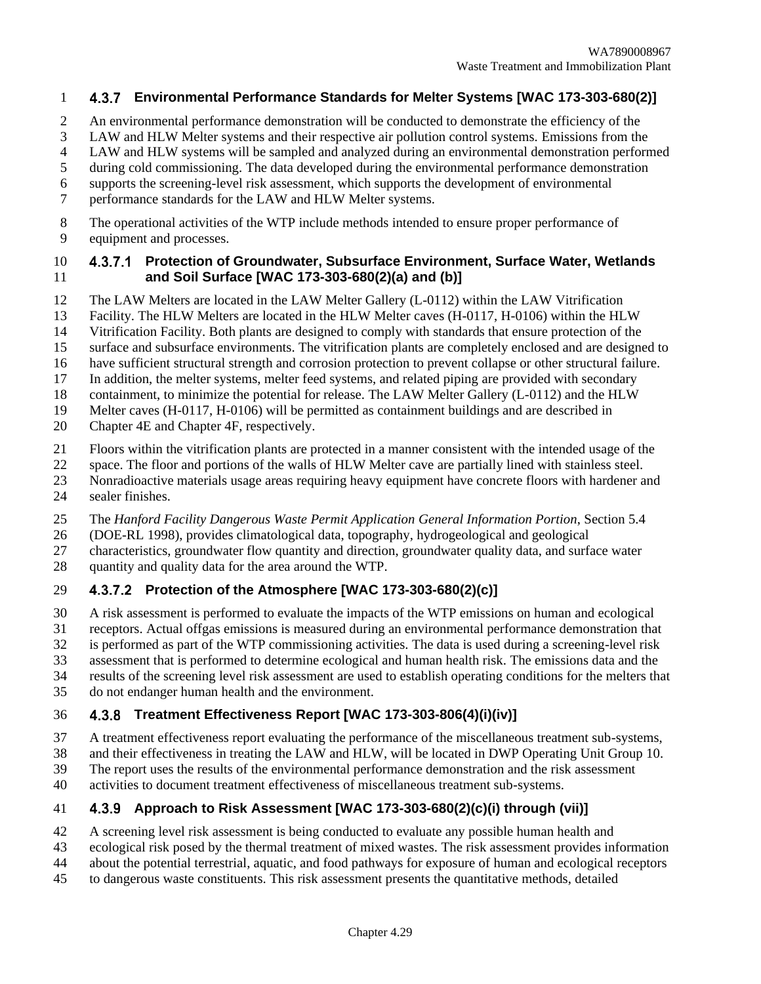#### <span id="page-30-0"></span>**Environmental Performance Standards for Melter Systems [WAC 173-303-680(2)]**

2 An environmental performance demonstration will be conducted to demonstrate the efficiency of the

- LAW and HLW Melter systems and their respective air pollution control systems. Emissions from the
- LAW and HLW systems will be sampled and analyzed during an environmental demonstration performed
- during cold commissioning. The data developed during the environmental performance demonstration
- supports the screening-level risk assessment, which supports the development of environmental
- performance standards for the LAW and HLW Melter systems.
- The operational activities of the WTP include methods intended to ensure proper performance of equipment and processes.

#### **Protection of Groundwater, Subsurface Environment, Surface Water, Wetlands and Soil Surface [WAC 173-303-680(2)(a) and (b)]**

- The LAW Melters are located in the LAW Melter Gallery (L-0112) within the LAW Vitrification
- Facility. The HLW Melters are located in the HLW Melter caves (H-0117, H-0106) within the HLW
- Vitrification Facility. Both plants are designed to comply with standards that ensure protection of the

surface and subsurface environments. The vitrification plants are completely enclosed and are designed to

- have sufficient structural strength and corrosion protection to prevent collapse or other structural failure.
- In addition, the melter systems, melter feed systems, and related piping are provided with secondary
- containment, to minimize the potential for release. The LAW Melter Gallery (L-0112) and the HLW
- Melter caves (H-0117, H-0106) will be permitted as containment buildings and are described in
- Chapter 4E and Chapter 4F, respectively.
- Floors within the vitrification plants are protected in a manner consistent with the intended usage of the
- space. The floor and portions of the walls of HLW Melter cave are partially lined with stainless steel.
- Nonradioactive materials usage areas requiring heavy equipment have concrete floors with hardener and
- sealer finishes.
- The *Hanford Facility Dangerous Waste Permit Application General Information Portion*, Section 5.4
- (DOE-RL 1998), provides climatological data, topography, hydrogeological and geological
- characteristics, groundwater flow quantity and direction, groundwater quality data, and surface water
- quantity and quality data for the area around the WTP.

### **Protection of the Atmosphere [WAC 173-303-680(2)(c)]**

- A risk assessment is performed to evaluate the impacts of the WTP emissions on human and ecological
- receptors. Actual offgas emissions is measured during an environmental performance demonstration that
- is performed as part of the WTP commissioning activities. The data is used during a screening-level risk
- assessment that is performed to determine ecological and human health risk. The emissions data and the
- results of the screening level risk assessment are used to establish operating conditions for the melters that
- do not endanger human health and the environment.

### <span id="page-30-1"></span>**Treatment Effectiveness Report [WAC 173-303-806(4)(i)(iv)]**

- A treatment effectiveness report evaluating the performance of the miscellaneous treatment sub-systems,
- and their effectiveness in treating the LAW and HLW, will be located in DWP Operating Unit Group 10.
- The report uses the results of the environmental performance demonstration and the risk assessment
- activities to document treatment effectiveness of miscellaneous treatment sub-systems.

### <span id="page-30-2"></span>**Approach to Risk Assessment [WAC 173-303-680(2)(c)(i) through (vii)]**

- A screening level risk assessment is being conducted to evaluate any possible human health and
- ecological risk posed by the thermal treatment of mixed wastes. The risk assessment provides information
- about the potential terrestrial, aquatic, and food pathways for exposure of human and ecological receptors
- to dangerous waste constituents. This risk assessment presents the quantitative methods, detailed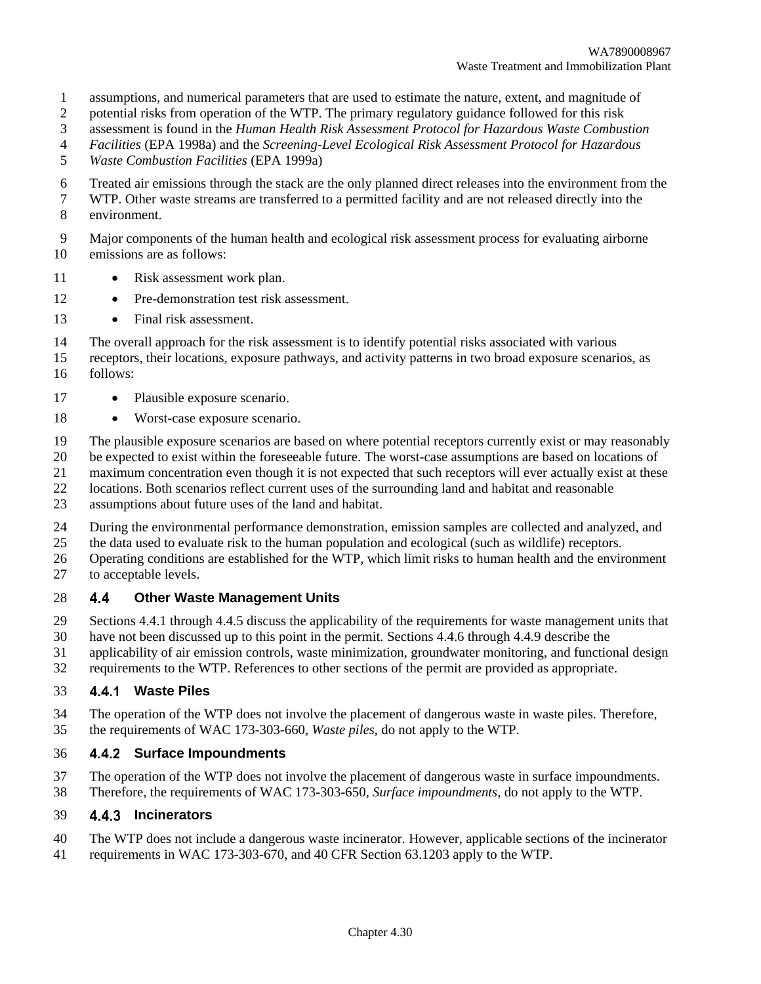- assumptions, and numerical parameters that are used to estimate the nature, extent, and magnitude of
- potential risks from operation of the WTP. The primary regulatory guidance followed for this risk
- assessment is found in the *Human Health Risk Assessment Protocol for Hazardous Waste Combustion*
- *Facilities* (EPA 1998a) and the *Screening-Level Ecological Risk Assessment Protocol for Hazardous*
- *Waste Combustion Facilities* (EPA 1999a)
- Treated air emissions through the stack are the only planned direct releases into the environment from the
- WTP. Other waste streams are transferred to a permitted facility and are not released directly into the
- environment.
- Major components of the human health and ecological risk assessment process for evaluating airborne emissions are as follows:
- 11 Risk assessment work plan.
- Pre-demonstration test risk assessment.
- Final risk assessment.
- The overall approach for the risk assessment is to identify potential risks associated with various
- receptors, their locations, exposure pathways, and activity patterns in two broad exposure scenarios, as follows:
- Plausible exposure scenario.
- 18 Worst-case exposure scenario.
- The plausible exposure scenarios are based on where potential receptors currently exist or may reasonably
- be expected to exist within the foreseeable future. The worst-case assumptions are based on locations of
- maximum concentration even though it is not expected that such receptors will ever actually exist at these
- locations. Both scenarios reflect current uses of the surrounding land and habitat and reasonable
- assumptions about future uses of the land and habitat.
- During the environmental performance demonstration, emission samples are collected and analyzed, and
- the data used to evaluate risk to the human population and ecological (such as wildlife) receptors.
- Operating conditions are established for the WTP, which limit risks to human health and the environment
- to acceptable levels.

#### <span id="page-31-0"></span>**Other Waste Management Units**

- Sections 4.4.1 through 4.4.5 discuss the applicability of the requirements for waste management units that
- have not been discussed up to this point in the permit. Sections 4.4.6 through 4.4.9 describe the
- applicability of air emission controls, waste minimization, groundwater monitoring, and functional design
- requirements to the WTP. References to other sections of the permit are provided as appropriate.

#### <span id="page-31-1"></span>**Waste Piles**

 The operation of the WTP does not involve the placement of dangerous waste in waste piles. Therefore, the requirements of WAC 173-303-660, *Waste piles*, do not apply to the WTP.

#### <span id="page-31-2"></span>**Surface Impoundments**

 The operation of the WTP does not involve the placement of dangerous waste in surface impoundments. Therefore, the requirements of WAC 173-303-650, *Surface impoundments*, do not apply to the WTP.

#### <span id="page-31-3"></span>**Incinerators**

- The WTP does not include a dangerous waste incinerator. However, applicable sections of the incinerator
- requirements in WAC 173-303-670, and 40 CFR Section 63.1203 apply to the WTP.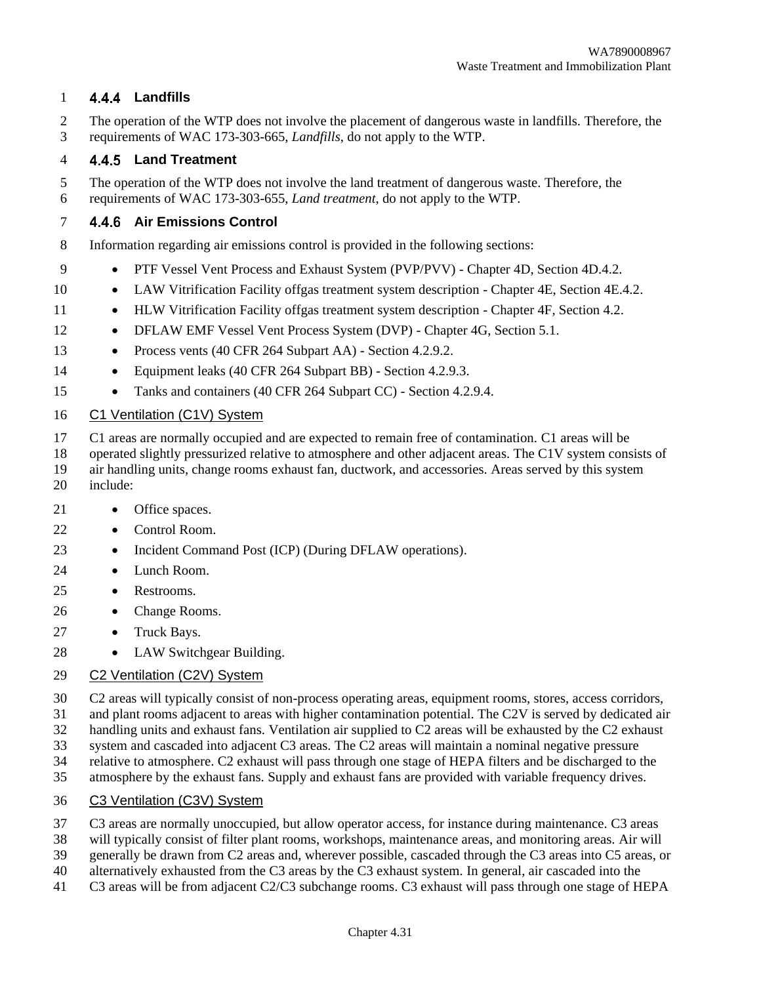### <span id="page-32-0"></span>**Landfills**

- The operation of the WTP does not involve the placement of dangerous waste in landfills. Therefore, the
- requirements of WAC 173-303-665, *Landfills*, do not apply to the WTP.

### <span id="page-32-1"></span>**Land Treatment**

 The operation of the WTP does not involve the land treatment of dangerous waste. Therefore, the requirements of WAC 173-303-655, *Land treatment*, do not apply to the WTP.

### <span id="page-32-2"></span>**Air Emissions Control**

- Information regarding air emissions control is provided in the following sections:
- PTF Vessel Vent Process and Exhaust System (PVP/PVV) Chapter 4D, Section 4D.4.2.
- LAW Vitrification Facility offgas treatment system description Chapter 4E, Section 4E.4.2.
- HLW Vitrification Facility offgas treatment system description Chapter 4F, Section 4.2.
- 12 DFLAW EMF Vessel Vent Process System (DVP) Chapter 4G, Section 5.1.
- Process vents (40 CFR 264 Subpart AA) Section 4.2.9.2.
- Equipment leaks (40 CFR 264 Subpart BB) Section 4.2.9.3.
- 15 Tanks and containers (40 CFR 264 Subpart CC) Section 4.2.9.4.

### C1 Ventilation (C1V) System

- C1 areas are normally occupied and are expected to remain free of contamination. C1 areas will be
- operated slightly pressurized relative to atmosphere and other adjacent areas. The C1V system consists of
- air handling units, change rooms exhaust fan, ductwork, and accessories. Areas served by this system include:
- 21 Office spaces.
- Control Room.
- Incident Command Post (ICP) (During DFLAW operations).
- Lunch Room.
- Restrooms.
- Change Rooms.
- 27 Truck Bays.
- LAW Switchgear Building.

### C2 Ventilation (C2V) System

- C2 areas will typically consist of non-process operating areas, equipment rooms, stores, access corridors,
- and plant rooms adjacent to areas with higher contamination potential. The C2V is served by dedicated air
- handling units and exhaust fans. Ventilation air supplied to C2 areas will be exhausted by the C2 exhaust
- system and cascaded into adjacent C3 areas. The C2 areas will maintain a nominal negative pressure
- relative to atmosphere. C2 exhaust will pass through one stage of HEPA filters and be discharged to the
- atmosphere by the exhaust fans. Supply and exhaust fans are provided with variable frequency drives.
- C3 Ventilation (C3V) System
- C3 areas are normally unoccupied, but allow operator access, for instance during maintenance. C3 areas
- will typically consist of filter plant rooms, workshops, maintenance areas, and monitoring areas. Air will
- generally be drawn from C2 areas and, wherever possible, cascaded through the C3 areas into C5 areas, or
- alternatively exhausted from the C3 areas by the C3 exhaust system. In general, air cascaded into the
- C3 areas will be from adjacent C2/C3 subchange rooms. C3 exhaust will pass through one stage of HEPA